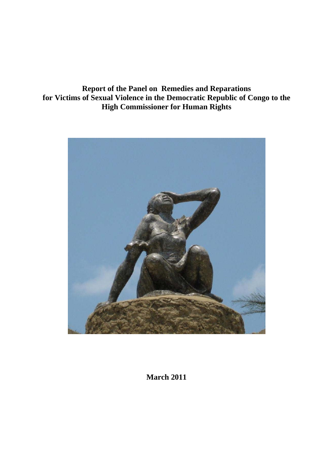**Report of the Panel on Remedies and Reparations for Victims of Sexual Violence in the Democratic Republic of Congo to the High Commissioner for Human Rights** 



**March 2011**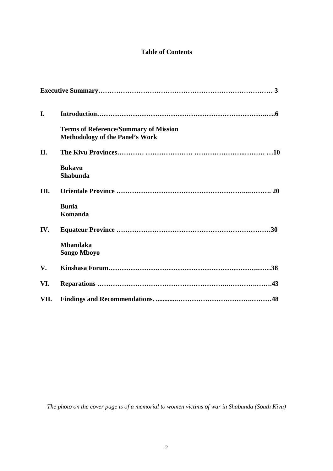# **Table of Contents**

| I.   |                                                                                        |
|------|----------------------------------------------------------------------------------------|
|      | <b>Terms of Reference/Summary of Mission</b><br><b>Methodology of the Panel's Work</b> |
| II.  |                                                                                        |
|      | <b>Bukavu</b><br><b>Shabunda</b>                                                       |
| III. |                                                                                        |
|      | <b>Bunia</b><br>Komanda                                                                |
| IV.  |                                                                                        |
|      | <b>Mbandaka</b><br><b>Songo Mboyo</b>                                                  |
| V.   |                                                                                        |
| VI.  |                                                                                        |
| VII. |                                                                                        |

*The photo on the cover page is of a memorial to women victims of war in Shabunda (South Kivu)*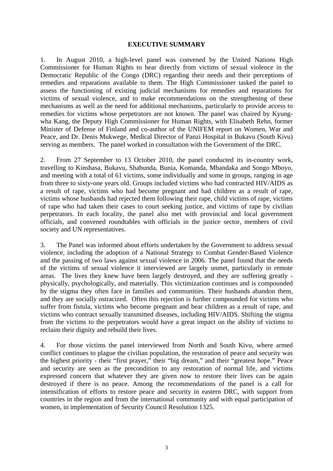#### **EXECUTIVE SUMMARY**

1. In August 2010, a high-level panel was convened by the United Nations High Commissioner for Human Rights to hear directly from victims of sexual violence in the Democratic Republic of the Congo (DRC) regarding their needs and their perceptions of remedies and reparations available to them. The High Commissioner tasked the panel to assess the functioning of existing judicial mechanisms for remedies and reparations for victims of sexual violence, and to make recommendations on the strengthening of these mechanisms as well as the need for additional mechanisms, particularly to provide access to remedies for victims whose perpetrators are not known. The panel was chaired by Kyungwha Kang, the Deputy High Commissioner for Human Rights, with Elisabeth Rehn, former Minister of Defense of Finland and co-author of the UNIFEM report on Women, War and Peace, and Dr. Denis Mukwege, Medical Director of Panzi Hospital in Bukavu (South Kivu) serving as members. The panel worked in consultation with the Government of the DRC.

2. From 27 September to 13 October 2010, the panel conducted its in-country work, travelling to Kinshasa, Bukavu, Shabunda, Bunia, Komanda, Mbandaka and Songo Mboyo, and meeting with a total of 61 victims, some individually and some in groups, ranging in age from three to sixty-one years old. Groups included victims who had contracted HIV/AIDS as a result of rape, victims who had become pregnant and had children as a result of rape, victims whose husbands had rejected them following their rape, child victims of rape, victims of rape who had taken their cases to court seeking justice, and victims of rape by civilian perpetrators. In each locality, the panel also met with provincial and local government officials, and convened roundtables with officials in the justice sector, members of civil society and UN representatives.

3. The Panel was informed about efforts undertaken by the Government to address sexual violence, including the adoption of a National Strategy to Combat Gender-Based Violence and the passing of two laws against sexual violence in 2006. The panel found that the needs of the victims of sexual violence it interviewed are largely unmet, particularly in remote areas. The lives they knew have been largely destroyed, and they are suffering greatly physically, psychologically, and materially. This victimization continues and is compounded by the stigma they often face in families and communities. Their husbands abandon them, and they are socially ostracized. Often this rejection is further compounded for victims who suffer from fistula, victims who become pregnant and bear children as a result of rape, and victims who contract sexually transmitted diseases, including HIV/AIDS. Shifting the stigma from the victims to the perpetrators would have a great impact on the ability of victims to reclaim their dignity and rebuild their lives.

4. For those victims the panel interviewed from North and South Kivu, where armed conflict continues to plague the civilian population, the restoration of peace and security was the highest priority - their "first prayer," their "big dream," and their "greatest hope." Peace and security are seen as the precondition to any restoration of normal life, and victims expressed concern that whatever they are given now to restore their lives can be again destroyed if there is no peace. Among the recommendations of the panel is a call for intensification of efforts to restore peace and security in eastern DRC, with support from countries in the region and from the international community and with equal participation of women, in implementation of Security Council Resolution 1325.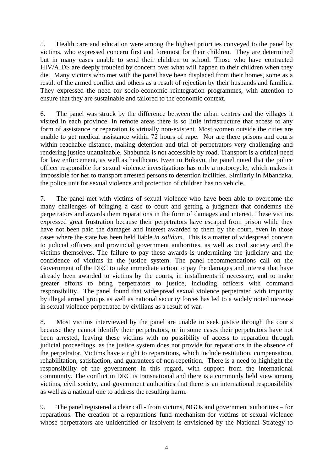5. Health care and education were among the highest priorities conveyed to the panel by victims, who expressed concern first and foremost for their children. They are determined but in many cases unable to send their children to school. Those who have contracted HIV/AIDS are deeply troubled by concern over what will happen to their children when they die. Many victims who met with the panel have been displaced from their homes, some as a result of the armed conflict and others as a result of rejection by their husbands and families. They expressed the need for socio-economic reintegration programmes, with attention to ensure that they are sustainable and tailored to the economic context.

6. The panel was struck by the difference between the urban centres and the villages it visited in each province. In remote areas there is so little infrastructure that access to any form of assistance or reparation is virtually non-existent. Most women outside the cities are unable to get medical assistance within 72 hours of rape. Nor are there prisons and courts within reachable distance, making detention and trial of perpetrators very challenging and rendering justice unattainable. Shabunda is not accessible by road. Transport is a critical need for law enforcement, as well as healthcare. Even in Bukavu, the panel noted that the police officer responsible for sexual violence investigations has only a motorcycle, which makes it impossible for her to transport arrested persons to detention facilities. Similarly in Mbandaka, the police unit for sexual violence and protection of children has no vehicle.

7. The panel met with victims of sexual violence who have been able to overcome the many challenges of bringing a case to court and getting a judgment that condemns the perpetrators and awards them reparations in the form of damages and interest. These victims expressed great frustration because their perpetrators have escaped from prison while they have not been paid the damages and interest awarded to them by the court, even in those cases where the state has been held liable *in solidum*. This is a matter of widespread concern to judicial officers and provincial government authorities, as well as civil society and the victims themselves. The failure to pay these awards is undermining the judiciary and the confidence of victims in the justice system. The panel recommendations call on the Government of the DRC to take immediate action to pay the damages and interest that have already been awarded to victims by the courts, in installments if necessary, and to make greater efforts to bring perpetrators to justice, including officers with command responsibility. The panel found that widespread sexual violence perpetrated with impunity by illegal armed groups as well as national security forces has led to a widely noted increase in sexual violence perpetrated by civilians as a result of war.

8. Most victims interviewed by the panel are unable to seek justice through the courts because they cannot identify their perpetrators, or in some cases their perpetrators have not been arrested, leaving these victims with no possibility of access to reparation through judicial proceedings, as the justice system does not provide for reparations in the absence of the perpetrator. Victims have a right to reparations, which include restitution, compensation, rehabilitation, satisfaction, and guarantees of non-repetition. There is a need to highlight the responsibility of the government in this regard, with support from the international community. The conflict in DRC is transnational and there is a commonly held view among victims, civil society, and government authorities that there is an international responsibility as well as a national one to address the resulting harm.

9. The panel registered a clear call - from victims, NGOs and government authorities – for reparations. The creation of a reparations fund mechanism for victims of sexual violence whose perpetrators are unidentified or insolvent is envisioned by the National Strategy to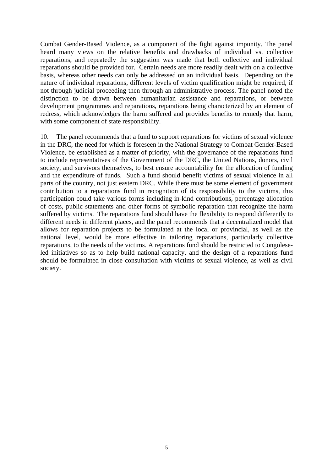Combat Gender-Based Violence, as a component of the fight against impunity. The panel heard many views on the relative benefits and drawbacks of individual vs. collective reparations, and repeatedly the suggestion was made that both collective and individual reparations should be provided for. Certain needs are more readily dealt with on a collective basis, whereas other needs can only be addressed on an individual basis. Depending on the nature of individual reparations, different levels of victim qualification might be required, if not through judicial proceeding then through an administrative process. The panel noted the distinction to be drawn between humanitarian assistance and reparations, or between development programmes and reparations, reparations being characterized by an element of redress, which acknowledges the harm suffered and provides benefits to remedy that harm, with some component of state responsibility.

10. The panel recommends that a fund to support reparations for victims of sexual violence in the DRC, the need for which is foreseen in the National Strategy to Combat Gender-Based Violence, be established as a matter of priority, with the governance of the reparations fund to include representatives of the Government of the DRC, the United Nations, donors, civil society, and survivors themselves, to best ensure accountability for the allocation of funding and the expenditure of funds. Such a fund should benefit victims of sexual violence in all parts of the country, not just eastern DRC. While there must be some element of government contribution to a reparations fund in recognition of its responsibility to the victims, this participation could take various forms including in-kind contributions, percentage allocation of costs, public statements and other forms of symbolic reparation that recognize the harm suffered by victims. The reparations fund should have the flexibility to respond differently to different needs in different places, and the panel recommends that a decentralized model that allows for reparation projects to be formulated at the local or provincial, as well as the national level, would be more effective in tailoring reparations, particularly collective reparations, to the needs of the victims. A reparations fund should be restricted to Congoleseled initiatives so as to help build national capacity, and the design of a reparations fund should be formulated in close consultation with victims of sexual violence, as well as civil society.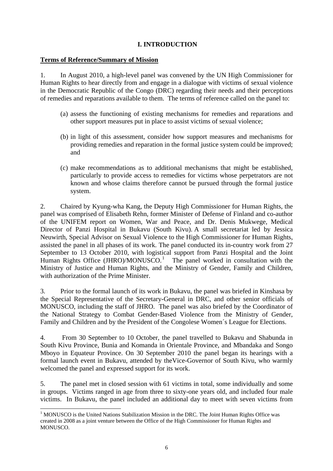# **I. INTRODUCTION**

### **Terms of Reference/Summary of Mission**

1. In August 2010, a high-level panel was convened by the UN High Commissioner for Human Rights to hear directly from and engage in a dialogue with victims of sexual violence in the Democratic Republic of the Congo (DRC) regarding their needs and their perceptions of remedies and reparations available to them. The terms of reference called on the panel to:

- (a) assess the functioning of existing mechanisms for remedies and reparations and other support measures put in place to assist victims of sexual violence;
- (b) in light of this assessment, consider how support measures and mechanisms for providing remedies and reparation in the formal justice system could be improved; and
- (c) make recommendations as to additional mechanisms that might be established, particularly to provide access to remedies for victims whose perpetrators are not known and whose claims therefore cannot be pursued through the formal justice system.

2. Chaired by Kyung-wha Kang, the Deputy High Commissioner for Human Rights, the panel was comprised of Elisabeth Rehn, former Minister of Defense of Finland and co-author of the UNIFEM report on Women, War and Peace, and Dr. Denis Mukwege, Medical Director of Panzi Hospital in Bukavu (South Kivu). A small secretariat led by Jessica Neuwirth, Special Advisor on Sexual Violence to the High Commissioner for Human Rights, assisted the panel in all phases of its work. The panel conducted its in-country work from 27 September to 13 October 2010, with logistical support from Panzi Hospital and the Joint Human Rights Office (JHRO)/MONUSCO.<sup>[1](#page-5-0)</sup> The panel worked in consultation with the Ministry of Justice and Human Rights, and the Ministry of Gender, Family and Children, with authorization of the Prime Minister.

3. Prior to the formal launch of its work in Bukavu, the panel was briefed in Kinshasa by the Special Representative of the Secretary-General in DRC, and other senior officials of MONUSCO, including the staff of JHRO. The panel was also briefed by the Coordinator of the National Strategy to Combat Gender-Based Violence from the Ministry of Gender, Family and Children and by the President of the Congolese Women´s League for Elections.

4. From 30 September to 10 October, the panel travelled to Bukavu and Shabunda in South Kivu Province, Bunia and Komanda in Orientale Province, and Mbandaka and Songo Mboyo in Equateur Province. On 30 September 2010 the panel began its hearings with a formal launch event in Bukavu, attended by theVice-Governor of South Kivu, who warmly welcomed the panel and expressed support for its work.

5. The panel met in closed session with 61 victims in total, some individually and some in groups. Victims ranged in age from three to sixty-one years old, and included four male victims. In Bukavu, the panel included an additional day to meet with seven victims from

 $\overline{a}$ 

<span id="page-5-0"></span><sup>&</sup>lt;sup>1</sup> MONUSCO is the United Nations Stabilization Mission in the DRC. The Joint Human Rights Office was created in 2008 as a joint venture between the Office of the High Commissioner for Human Rights and MONUSCO.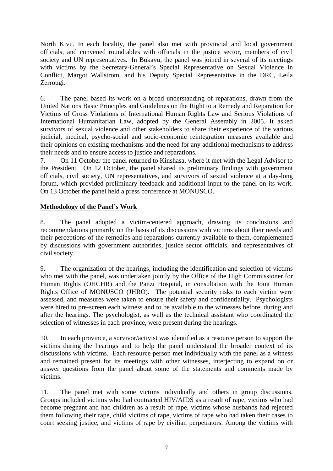North Kivu. In each locality, the panel also met with provincial and local government officials, and convened roundtables with officials in the justice sector, members of civil society and UN representatives. In Bukavu, the panel was joined in several of its meetings with victims by the Secretary-General's Special Representative on Sexual Violence in Conflict, Margot Wallstrom, and his Deputy Special Representative in the DRC, Leila Zerrougi.

6. The panel based its work on a broad understanding of reparations, drawn from the United Nations Basic Principles and Guidelines on the Right to a Remedy and Reparation for Victims of Gross Violations of International Human Rights Law and Serious Violations of International Humanitarian Law, adopted by the General Assembly in 2005. It asked survivors of sexual violence and other stakeholders to share their experience of the various judicial, medical, psycho-social and socio-economic reintegration measures available and their opinions on existing mechanisms and the need for any additional mechanisms to address their needs and to ensure access to justice and reparations.

7. On 11 October the panel returned to Kinshasa, where it met with the Legal Advisor to the President. On 12 October, the panel shared its preliminary findings with government officials, civil society, UN representatives, and survivors of sexual violence at a day-long forum, which provided preliminary feedback and additional input to the panel on its work. On 13 October the panel held a press conference at MONUSCO.

# **Methodology of the Panel's Work**

8. The panel adopted a victim-centered approach, drawing its conclusions and recommendations primarily on the basis of its discussions with victims about their needs and their perceptions of the remedies and reparations currently available to them, complemented by discussions with government authorities, justice sector officials, and representatives of civil society.

9. The organization of the hearings, including the identification and selection of victims who met with the panel, was undertaken jointly by the Office of the High Commissioner for Human Rights (OHCHR) and the Panzi Hospital, in consultation with the Joint Human Rights Office of MONUSCO (JHRO). The potential security risks to each victim were assessed, and measures were taken to ensure their safety and confidentiality. Psychologists were hired to pre-screen each witness and to be available to the witnesses before, during and after the hearings. The psychologist, as well as the technical assistant who coordinated the selection of witnesses in each province, were present during the hearings.

10. In each province, a survivor/activist was identified as a resource person to support the victims during the hearings and to help the panel understand the broader context of its discussions with victims. Each resource person met individually with the panel as a witness and remained present for its meetings with other witnesses, interjecting to expand on or answer questions from the panel about some of the statements and comments made by victims.

11. The panel met with some victims individually and others in group discussions. Groups included victims who had contracted HIV/AIDS as a result of rape, victims who had become pregnant and had children as a result of rape, victims whose husbands had rejected them following their rape, child victims of rape, victims of rape who had taken their cases to court seeking justice, and victims of rape by civilian perpetrators. Among the victims with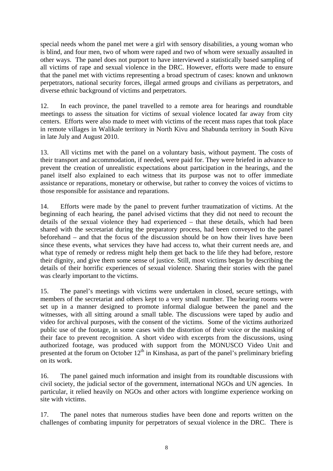special needs whom the panel met were a girl with sensory disabilities, a young woman who is blind, and four men, two of whom were raped and two of whom were sexually assaulted in other ways. The panel does not purport to have interviewed a statistically based sampling of all victims of rape and sexual violence in the DRC. However, efforts were made to ensure that the panel met with victims representing a broad spectrum of cases: known and unknown perpetrators, national security forces, illegal armed groups and civilians as perpetrators, and diverse ethnic background of victims and perpetrators.

12. In each province, the panel travelled to a remote area for hearings and roundtable meetings to assess the situation for victims of sexual violence located far away from city centers. Efforts were also made to meet with victims of the recent mass rapes that took place in remote villages in Walikale territory in North Kivu and Shabunda territory in South Kivu in late July and August 2010.

13. All victims met with the panel on a voluntary basis, without payment. The costs of their transport and accommodation, if needed, were paid for. They were briefed in advance to prevent the creation of unrealistic expectations about participation in the hearings, and the panel itself also explained to each witness that its purpose was not to offer immediate assistance or reparations, monetary or otherwise, but rather to convey the voices of victims to those responsible for assistance and reparations.

14. Efforts were made by the panel to prevent further traumatization of victims. At the beginning of each hearing, the panel advised victims that they did not need to recount the details of the sexual violence they had experienced – that these details, which had been shared with the secretariat during the preparatory process, had been conveyed to the panel beforehand – and that the focus of the discussion should be on how their lives have been since these events, what services they have had access to, what their current needs are, and what type of remedy or redress might help them get back to the life they had before, restore their dignity, and give them some sense of justice. Still, most victims began by describing the details of their horrific experiences of sexual violence. Sharing their stories with the panel was clearly important to the victims.

15. The panel's meetings with victims were undertaken in closed, secure settings, with members of the secretariat and others kept to a very small number. The hearing rooms were set up in a manner designed to promote informal dialogue between the panel and the witnesses, with all sitting around a small table. The discussions were taped by audio and video for archival purposes, with the consent of the victims. Some of the victims authorized public use of the footage, in some cases with the distortion of their voice or the masking of their face to prevent recognition. A short video with excerpts from the discussions, using authorized footage, was produced with support from the MONUSCO Video Unit and presented at the forum on October  $12<sup>th</sup>$  in Kinshasa, as part of the panel's preliminary briefing on its work.

16. The panel gained much information and insight from its roundtable discussions with civil society, the judicial sector of the government, international NGOs and UN agencies. In particular, it relied heavily on NGOs and other actors with longtime experience working on site with victims.

17. The panel notes that numerous studies have been done and reports written on the challenges of combating impunity for perpetrators of sexual violence in the DRC. There is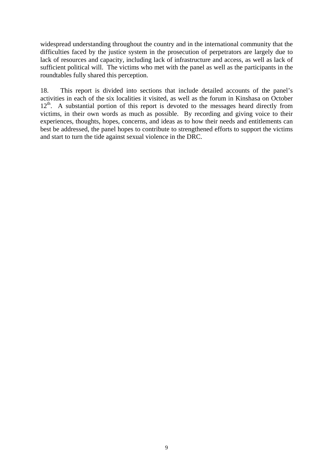widespread understanding throughout the country and in the international community that the difficulties faced by the justice system in the prosecution of perpetrators are largely due to lack of resources and capacity, including lack of infrastructure and access, as well as lack of sufficient political will. The victims who met with the panel as well as the participants in the roundtables fully shared this perception.

18. This report is divided into sections that include detailed accounts of the panel's activities in each of the six localities it visited, as well as the forum in Kinshasa on October  $12<sup>th</sup>$ . A substantial portion of this report is devoted to the messages heard directly from victims, in their own words as much as possible. By recording and giving voice to their experiences, thoughts, hopes, concerns, and ideas as to how their needs and entitlements can best be addressed, the panel hopes to contribute to strengthened efforts to support the victims and start to turn the tide against sexual violence in the DRC.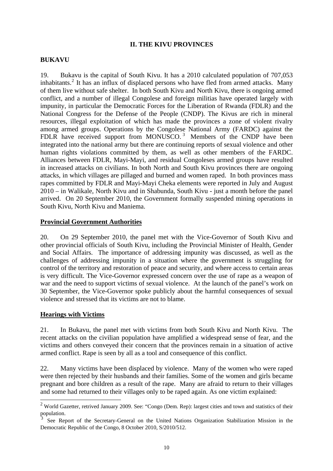## **II. THE KIVU PROVINCES**

#### **BUKAVU**

19. Bukavu is the capital of South Kivu. It has a 2010 calculated population of 707,053 inhabitants.<sup>[2](#page-9-0)</sup> It has an influx of displaced persons who have fled from armed attacks. Many of them live without safe shelter. In both South Kivu and North Kivu, there is ongoing armed conflict, and a number of illegal Congolese and foreign militias have operated largely with impunity, in particular the Democratic Forces for the Liberation of Rwanda (FDLR) and the National Congress for the Defense of the People (CNDP). The Kivus are rich in mineral resources, illegal exploitation of which has made the provinces a zone of violent rivalry among armed groups. Operations by the Congolese National Army (FARDC) against the FDLR have received support from MONUSCO.<sup>[3](#page-9-1)</sup> Members of the CNDP have been integrated into the national army but there are continuing reports of sexual violence and other human rights violations committed by them, as well as other members of the FARDC. Alliances between FDLR, Mayi-Mayi, and residual Congoleses armed groups have resulted in increased attacks on civilians. In both North and South Kivu provinces there are ongoing attacks, in which villages are pillaged and burned and women raped. In both provinces mass rapes committed by FDLR and Mayi-Mayi Cheka elements were reported in July and August 2010 – in Walikale, North Kivu and in Shabunda, South Kivu - just a month before the panel arrived. On 20 September 2010, the Government formally suspended mining operations in South Kivu, North Kivu and Maniema.

### **Provincial Government Authorities**

20. On 29 September 2010, the panel met with the Vice-Governor of South Kivu and other provincial officials of South Kivu, including the Provincial Minister of Health, Gender and Social Affairs. The importance of addressing impunity was discussed, as well as the challenges of addressing impunity in a situation where the government is struggling for control of the territory and restoration of peace and security, and where access to certain areas is very difficult. The Vice-Governor expressed concern over the use of rape as a weapon of war and the need to support victims of sexual violence. At the launch of the panel's work on 30 September, the Vice-Governor spoke publicly about the harmful consequences of sexual violence and stressed that its victims are not to blame.

### **Hearings with Victims**

21. In Bukavu, the panel met with victims from both South Kivu and North Kivu. The recent attacks on the civilian population have amplified a widespread sense of fear, and the victims and others conveyed their concern that the provinces remain in a situation of active armed conflict. Rape is seen by all as a tool and consequence of this conflict.

22. Many victims have been displaced by violence. Many of the women who were raped were then rejected by their husbands and their families. Some of the women and girls became pregnant and bore children as a result of the rape. Many are afraid to return to their villages and some had returned to their villages only to be raped again. As one victim explained:

<span id="page-9-0"></span> $2$  World Gazetter, retrived January 2009. See: "Congo (Dem. Rep): largest cities and town and statistics of their population.

<span id="page-9-1"></span><sup>3</sup> See Report of the Secretary-General on the United Nations Organization Stabilization Mission in the Democratic Republic of the Congo, 8 October 2010, S/2010/512.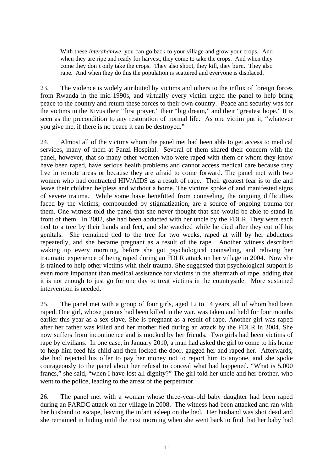With these *interahamwe*, you can go back to your village and grow your crops. And when they are ripe and ready for harvest, they come to take the crops. And when they come they don't only take the crops. They also shoot, they kill, they burn. They also rape. And when they do this the population is scattered and everyone is displaced.

23. The violence is widely attributed by victims and others to the influx of foreign forces from Rwanda in the mid-1990s, and virtually every victim urged the panel to help bring peace to the country and return these forces to their own country. Peace and security was for the victims in the Kivus their "first prayer," their "big dream," and their "greatest hope." It is seen as the precondition to any restoration of normal life. As one victim put it, "whatever you give me, if there is no peace it can be destroyed."

24. Almost all of the victims whom the panel met had been able to get access to medical services, many of them at Panzi Hospital. Several of them shared their concern with the panel, however, that so many other women who were raped with them or whom they know have been raped, have serious health problems and cannot access medical care because they live in remote areas or because they are afraid to come forward. The panel met with two women who had contracted HIV/AIDS as a result of rape. Their greatest fear is to die and leave their children helpless and without a home. The victims spoke of and manifested signs of severe trauma. While some have benefitted from counseling, the ongoing difficulties faced by the victims, compounded by stigmatization, are a source of ongoing trauma for them. One witness told the panel that she never thought that she would be able to stand in front of them. In 2002, she had been abducted with her uncle by the FDLR. They were each tied to a tree by their hands and feet, and she watched while he died after they cut off his genitals. She remained tied to the tree for two weeks, raped at will by her abductors repeatedly, and she became pregnant as a result of the rape. Another witness described waking up every morning, before she got psychological counseling, and reliving her traumatic experience of being raped during an FDLR attack on her village in 2004. Now she is trained to help other victims with their trauma. She suggested that psychological support is even more important than medical assistance for victims in the aftermath of rape, adding that it is not enough to just go for one day to treat victims in the countryside. More sustained intervention is needed.

25. The panel met with a group of four girls, aged 12 to 14 years, all of whom had been raped. One girl, whose parents had been killed in the war, was taken and held for four months earlier this year as a sex slave. She is pregnant as a result of rape. Another girl was raped after her father was killed and her mother fled during an attack by the FDLR in 2004. She now suffers from incontinence and is mocked by her friends. Two girls had been victims of rape by civilians. In one case, in January 2010, a man had asked the girl to come to his home to help him feed his child and then locked the door, gagged her and raped her. Afterwards, she had rejected his offer to pay her money not to report him to anyone, and she spoke courageously to the panel about her refusal to conceal what had happened. "What is 5,000 francs," she said, "when I have lost all dignity?" The girl told her uncle and her brother, who went to the police, leading to the arrest of the perpetrator.

26. The panel met with a woman whose three-year-old baby daughter had been raped during an FARDC attack on her village in 2008. The witness had been attacked and ran with her husband to escape, leaving the infant asleep on the bed. Her husband was shot dead and she remained in hiding until the next morning when she went back to find that her baby had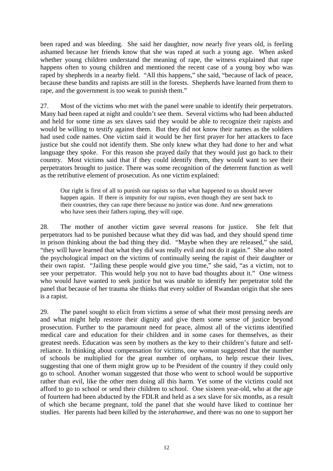been raped and was bleeding. She said her daughter, now nearly five years old, is feeling ashamed because her friends know that she was raped at such a young age. When asked whether young children understand the meaning of rape, the witness explained that rape happens often to young children and mentioned the recent case of a young boy who was raped by shepherds in a nearby field. "All this happens," she said, "because of lack of peace, because these bandits and rapists are still in the forests. Shepherds have learned from them to rape, and the government is too weak to punish them."

27. Most of the victims who met with the panel were unable to identify their perpetrators. Many had been raped at night and couldn't see them. Several victims who had been abducted and held for some time as sex slaves said they would be able to recognize their rapists and would be willing to testify against them. But they did not know their names as the soldiers had used code names. One victim said it would be her first prayer for her attackers to face justice but she could not identify them. She only knew what they had done to her and what language they spoke. For this reason she prayed daily that they would just go back to their country. Most victims said that if they could identify them, they would want to see their perpetrators brought to justice. There was some recognition of the deterrent function as well as the retributive element of prosecution. As one victim explained:

Our right is first of all to punish our rapists so that what happened to us should never happen again. If there is impunity for our rapists, even though they are sent back to their countries, they can rape there because no justice was done. And new generations who have seen their fathers raping, they will rape.

28. The mother of another victim gave several reasons for justice. She felt that perpetrators had to be punished because what they did was bad, and they should spend time in prison thinking about the bad thing they did. "Maybe when they are released," she said, "they will have learned that what they did was really evil and not do it again." She also noted the psychological impact on the victims of continually seeing the rapist of their daughter or their own rapist. "Jailing these people would give you time," she said, "as a victim, not to see your perpetrator. This would help you not to have bad thoughts about it." One witness who would have wanted to seek justice but was unable to identify her perpetrator told the panel that because of her trauma she thinks that every soldier of Rwandan origin that she sees is a rapist.

29. The panel sought to elicit from victims a sense of what their most pressing needs are and what might help restore their dignity and give them some sense of justice beyond prosecution. Further to the paramount need for peace, almost all of the victims identified medical care and education for their children and in some cases for themselves, as their greatest needs. Education was seen by mothers as the key to their children's future and selfreliance. In thinking about compensation for victims, one woman suggested that the number of schools be multiplied for the great number of orphans, to help rescue their lives, suggesting that one of them might grow up to be President of the country if they could only go to school. Another woman suggested that those who went to school would be supportive rather than evil, like the other men doing all this harm. Yet some of the victims could not afford to go to school or send their children to school. One sixteen year-old, who at the age of fourteen had been abducted by the FDLR and held as a sex slave for six months, as a result of which she became pregnant, told the panel that she would have liked to continue her studies. Her parents had been killed by the *interahamwe*, and there was no one to support her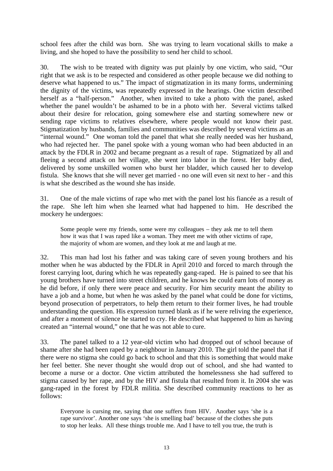school fees after the child was born. She was trying to learn vocational skills to make a living, and she hoped to have the possibility to send her child to school.

30. The wish to be treated with dignity was put plainly by one victim, who said, "Our right that we ask is to be respected and considered as other people because we did nothing to deserve what happened to us." The impact of stigmatization in its many forms, undermining the dignity of the victims, was repeatedly expressed in the hearings. One victim described herself as a "half-person." Another, when invited to take a photo with the panel, asked whether the panel wouldn't be ashamed to be in a photo with her. Several victims talked about their desire for relocation, going somewhere else and starting somewhere new or sending rape victims to relatives elsewhere, where people would not know their past. Stigmatization by husbands, families and communities was described by several victims as an "internal wound." One woman told the panel that what she really needed was her husband, who had rejected her. The panel spoke with a young woman who had been abducted in an attack by the FDLR in 2002 and became pregnant as a result of rape. Stigmatized by all and fleeing a second attack on her village, she went into labor in the forest. Her baby died, delivered by some unskilled women who burst her bladder, which caused her to develop fistula. She knows that she will never get married - no one will even sit next to her - and this is what she described as the wound she has inside.

31. One of the male victims of rape who met with the panel lost his fiancée as a result of the rape. She left him when she learned what had happened to him. He described the mockery he undergoes:

Some people were my friends, some were my colleagues – they ask me to tell them how it was that I was raped like a woman. They meet me with other victims of rape, the majority of whom are women, and they look at me and laugh at me.

32. This man had lost his father and was taking care of seven young brothers and his mother when he was abducted by the FDLR in April 2010 and forced to march through the forest carrying loot, during which he was repeatedly gang-raped. He is pained to see that his young brothers have turned into street children, and he knows he could earn lots of money as he did before, if only there were peace and security. For him security meant the ability to have a job and a home, but when he was asked by the panel what could be done for victims, beyond prosecution of perpetrators, to help them return to their former lives, he had trouble understanding the question. His expression turned blank as if he were reliving the experience, and after a moment of silence he started to cry. He described what happened to him as having created an "internal wound," one that he was not able to cure.

33. The panel talked to a 12 year-old victim who had dropped out of school because of shame after she had been raped by a neighbour in January 2010. The girl told the panel that if there were no stigma she could go back to school and that this is something that would make her feel better. She never thought she would drop out of school, and she had wanted to become a nurse or a doctor. One victim attributed the homelessness she had suffered to stigma caused by her rape, and by the HIV and fistula that resulted from it. In 2004 she was gang-raped in the forest by FDLR militia. She described community reactions to her as follows:

Everyone is cursing me, saying that one suffers from HIV. Another says 'she is a rape survivor'. Another one says 'she is smelling bad' because of the clothes she puts to stop her leaks. All these things trouble me. And I have to tell you true, the truth is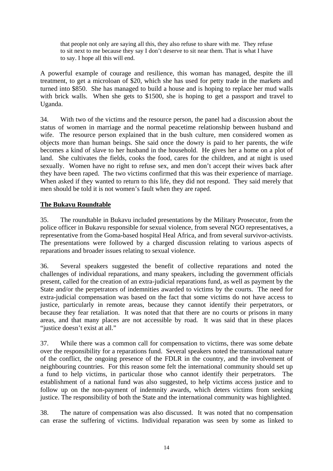that people not only are saying all this, they also refuse to share with me. They refuse to sit next to me because they say I don't deserve to sit near them. That is what I have to say. I hope all this will end.

A powerful example of courage and resilience, this woman has managed, despite the ill treatment, to get a microloan of \$20, which she has used for petty trade in the markets and turned into \$850. She has managed to build a house and is hoping to replace her mud walls with brick walls. When she gets to \$1500, she is hoping to get a passport and travel to Uganda.

34. With two of the victims and the resource person, the panel had a discussion about the status of women in marriage and the normal peacetime relationship between husband and wife. The resource person explained that in the bush culture, men considered women as objects more than human beings. She said once the dowry is paid to her parents, the wife becomes a kind of slave to her husband in the household. He gives her a home on a plot of land. She cultivates the fields, cooks the food, cares for the children, and at night is used sexually. Women have no right to refuse sex, and men don't accept their wives back after they have been raped. The two victims confirmed that this was their experience of marriage. When asked if they wanted to return to this life, they did not respond. They said merely that men should be told it is not women's fault when they are raped.

# **The Bukavu Roundtable**

35. The roundtable in Bukavu included presentations by the Military Prosecutor, from the police officer in Bukavu responsible for sexual violence, from several NGO representatives, a representative from the Goma-based hospital Heal Africa, and from several survivor-activists. The presentations were followed by a charged discussion relating to various aspects of reparations and broader issues relating to sexual violence.

36. Several speakers suggested the benefit of collective reparations and noted the challenges of individual reparations, and many speakers, including the government officials present, called for the creation of an extra-judicial reparations fund, as well as payment by the State and/or the perpetrators of indemnities awarded to victims by the courts. The need for extra-judicial compensation was based on the fact that some victims do not have access to justice, particularly in remote areas, because they cannot identify their perpetrators, or because they fear retaliation. It was noted that that there are no courts or prisons in many areas, and that many places are not accessible by road. It was said that in these places "justice doesn't exist at all."

37. While there was a common call for compensation to victims, there was some debate over the responsibility for a reparations fund. Several speakers noted the transnational nature of the conflict, the ongoing presence of the FDLR in the country, and the involvement of neighbouring countries. For this reason some felt the international community should set up a fund to help victims, in particular those who cannot identify their perpetrators. The establishment of a national fund was also suggested, to help victims access justice and to follow up on the non-payment of indemnity awards, which deters victims from seeking justice. The responsibility of both the State and the international community was highlighted.

38. The nature of compensation was also discussed. It was noted that no compensation can erase the suffering of victims. Individual reparation was seen by some as linked to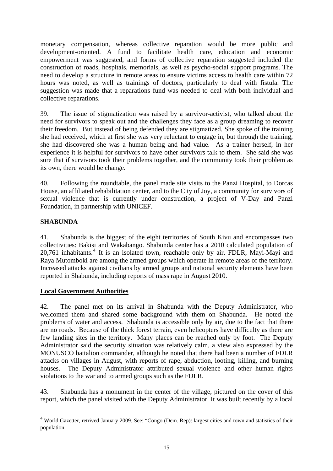monetary compensation, whereas collective reparation would be more public and development-oriented. A fund to facilitate health care, education and economic empowerment was suggested, and forms of collective reparation suggested included the construction of roads, hospitals, memorials, as well as psycho-social support programs. The need to develop a structure in remote areas to ensure victims access to health care within 72 hours was noted, as well as trainings of doctors, particularly to deal with fistula. The suggestion was made that a reparations fund was needed to deal with both individual and collective reparations.

39. The issue of stigmatization was raised by a survivor-activist, who talked about the need for survivors to speak out and the challenges they face as a group dreaming to recover their freedom. But instead of being defended they are stigmatized. She spoke of the training she had received, which at first she was very reluctant to engage in, but through the training, she had discovered she was a human being and had value. As a trainer herself, in her experience it is helpful for survivors to have other survivors talk to them. She said she was sure that if survivors took their problems together, and the community took their problem as its own, there would be change.

40. Following the roundtable, the panel made site visits to the Panzi Hospital, to Dorcas House, an affiliated rehabilitation center, and to the City of Joy, a community for survivors of sexual violence that is currently under construction, a project of V-Day and Panzi Foundation, in partnership with UNICEF.

# **SHABUNDA**

41. Shabunda is the biggest of the eight territories of South Kivu and encompasses two collectivities: Bakisi and Wakabango. Shabunda center has a 2010 calculated population of  $20,761$  inhabitants.<sup>[4](#page-14-0)</sup> It is an isolated town, reachable only by air. FDLR, Mayi-Mayi and Raya Mutomboki are among the armed groups which operate in remote areas of the territory. Increased attacks against civilians by armed groups and national security elements have been reported in Shabunda, including reports of mass rape in August 2010.

# **Local Government Authorities**

42. The panel met on its arrival in Shabunda with the Deputy Administrator, who welcomed them and shared some background with them on Shabunda. He noted the problems of water and access. Shabunda is accessible only by air, due to the fact that there are no roads. Because of the thick forest terrain, even helicopters have difficulty as there are few landing sites in the territory. Many places can be reached only by foot. The Deputy Administrator said the security situation was relatively calm, a view also expressed by the MONUSCO battalion commander, although he noted that there had been a number of FDLR attacks on villages in August, with reports of rape, abduction, looting, killing, and burning houses. The Deputy Administrator attributed sexual violence and other human rights violations to the war and to armed groups such as the FDLR.

43. Shabunda has a monument in the center of the village, pictured on the cover of this report, which the panel visited with the Deputy Administrator. It was built recently by a local

<span id="page-14-0"></span><sup>4&</sup>lt;br>World Gazetter, retrived January 2009. See: "Congo (Dem. Rep): largest cities and town and statistics of their population.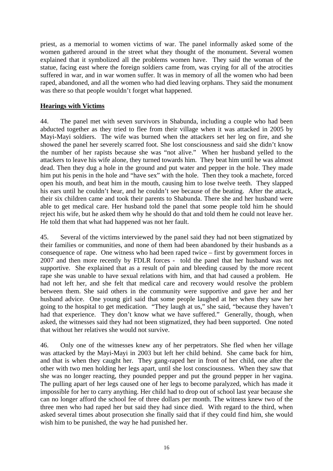priest, as a memorial to women victims of war. The panel informally asked some of the women gathered around in the street what they thought of the monument. Several women explained that it symbolized all the problems women have. They said the woman of the statue, facing east where the foreign soldiers came from, was crying for all of the atrocities suffered in war, and in war women suffer. It was in memory of all the women who had been raped, abandoned, and all the women who had died leaving orphans. They said the monument was there so that people wouldn't forget what happened.

# **Hearings with Victims**

44. The panel met with seven survivors in Shabunda, including a couple who had been abducted together as they tried to flee from their village when it was attacked in 2005 by Mayi-Mayi soldiers. The wife was burned when the attackers set her leg on fire, and she showed the panel her severely scarred foot. She lost consciousness and said she didn't know the number of her rapists because she was "not alive." When her husband yelled to the attackers to leave his wife alone, they turned towards him. They beat him until he was almost dead. Then they dug a hole in the ground and put water and pepper in the hole. They made him put his penis in the hole and "have sex" with the hole. Then they took a machete, forced open his mouth, and beat him in the mouth, causing him to lose twelve teeth. They slapped his ears until he couldn't hear, and he couldn't see because of the beating. After the attack, their six children came and took their parents to Shabunda. There she and her husband were able to get medical care. Her husband told the panel that some people told him he should reject his wife, but he asked them why he should do that and told them he could not leave her. He told them that what had happened was not her fault.

45. Several of the victims interviewed by the panel said they had not been stigmatized by their families or communities, and none of them had been abandoned by their husbands as a consequence of rape. One witness who had been raped twice – first by government forces in 2007 and then more recently by FDLR forces - told the panel that her husband was not supportive. She explained that as a result of pain and bleeding caused by the more recent rape she was unable to have sexual relations with him, and that had caused a problem. He had not left her, and she felt that medical care and recovery would resolve the problem between them. She said others in the community were supportive and gave her and her husband advice. One young girl said that some people laughed at her when they saw her going to the hospital to get medication. "They laugh at us," she said, "because they haven't had that experience. They don't know what we have suffered." Generally, though, when asked, the witnesses said they had not been stigmatized, they had been supported. One noted that without her relatives she would not survive.

46. Only one of the witnesses knew any of her perpetrators. She fled when her village was attacked by the Mayi-Mayi in 2003 but left her child behind. She came back for him, and that is when they caught her. They gang-raped her in front of her child, one after the other with two men holding her legs apart, until she lost consciousness. When they saw that she was no longer reacting, they pounded pepper and put the ground pepper in her vagina. The pulling apart of her legs caused one of her legs to become paralyzed, which has made it impossible for her to carry anything. Her child had to drop out of school last year because she can no longer afford the school fee of three dollars per month. The witness knew two of the three men who had raped her but said they had since died. With regard to the third, when asked several times about prosecution she finally said that if they could find him, she would wish him to be punished, the way he had punished her.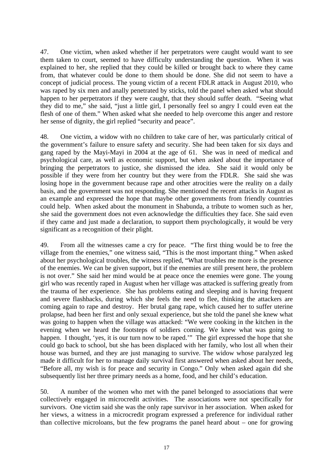47. One victim, when asked whether if her perpetrators were caught would want to see them taken to court, seemed to have difficulty understanding the question. When it was explained to her, she replied that they could be killed or brought back to where they came from, that whatever could be done to them should be done. She did not seem to have a concept of judicial process. The young victim of a recent FDLR attack in August 2010, who was raped by six men and anally penetrated by sticks, told the panel when asked what should happen to her perpetrators if they were caught, that they should suffer death. "Seeing what they did to me," she said, "just a little girl, I personally feel so angry I could even eat the flesh of one of them." When asked what she needed to help overcome this anger and restore her sense of dignity, the girl replied "security and peace".

48. One victim, a widow with no children to take care of her, was particularly critical of the government's failure to ensure safety and security. She had been taken for six days and gang raped by the Mayi-Mayi in 2004 at the age of 61. She was in need of medical and psychological care, as well as economic support, but when asked about the importance of bringing the perpetrators to justice, she dismissed the idea. She said it would only be possible if they were from her country but they were from the FDLR. She said she was losing hope in the government because rape and other atrocities were the reality on a daily basis, and the government was not responding. She mentioned the recent attacks in August as an example and expressed the hope that maybe other governments from friendly countries could help. When asked about the monument in Shabunda, a tribute to women such as her, she said the government does not even acknowledge the difficulties they face. She said even if they came and just made a declaration, to support them psychologically, it would be very significant as a recognition of their plight.

49. From all the witnesses came a cry for peace. "The first thing would be to free the village from the enemies," one witness said, "This is the most important thing." When asked about her psychological troubles, the witness replied, "What troubles me more is the presence of the enemies. We can be given support, but if the enemies are still present here, the problem is not over." She said her mind would be at peace once the enemies were gone. The young girl who was recently raped in August when her village was attacked is suffering greatly from the trauma of her experience. She has problems eating and sleeping and is having frequent and severe flashbacks, during which she feels the need to flee, thinking the attackers are coming again to rape and destroy. Her brutal gang rape, which caused her to suffer uterine prolapse, had been her first and only sexual experience, but she told the panel she knew what was going to happen when the village was attacked: "We were cooking in the kitchen in the evening when we heard the footsteps of soldiers coming. We knew what was going to happen. I thought, 'yes, it is our turn now to be raped.'" The girl expressed the hope that she could go back to school, but she has been displaced with her family, who lost all when their house was burned, and they are just managing to survive. The widow whose paralyzed leg made it difficult for her to manage daily survival first answered when asked about her needs, "Before all, my wish is for peace and security in Congo." Only when asked again did she subsequently list her three primary needs as a home, food, and her child's education.

50. A number of the women who met with the panel belonged to associations that were collectively engaged in microcredit activities. The associations were not specifically for survivors. One victim said she was the only rape survivor in her association. When asked for her views, a witness in a microcredit program expressed a preference for individual rather than collective microloans, but the few programs the panel heard about – one for growing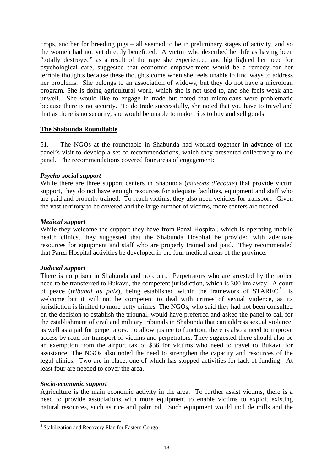crops, another for breeding pigs – all seemed to be in preliminary stages of activity, and so the women had not yet directly benefitted. A victim who described her life as having been "totally destroyed" as a result of the rape she experienced and highlighted her need for psychological care, suggested that economic empowerment would be a remedy for her terrible thoughts because these thoughts come when she feels unable to find ways to address her problems. She belongs to an association of widows, but they do not have a microloan program. She is doing agricultural work, which she is not used to, and she feels weak and unwell. She would like to engage in trade but noted that microloans were problematic because there is no security. To do trade successfully, she noted that you have to travel and that as there is no security, she would be unable to make trips to buy and sell goods.

## **The Shabunda Roundtable**

51. The NGOs at the roundtable in Shabunda had worked together in advance of the panel's visit to develop a set of recommendations, which they presented collectively to the panel. The recommendations covered four areas of engagement:

### *Psycho-social support*

While there are three support centers in Shabunda (*maisons d'ecoute*) that provide victim support, they do not have enough resources for adequate facilities, equipment and staff who are paid and properly trained. To reach victims, they also need vehicles for transport. Given the vast territory to be covered and the large number of victims, more centers are needed.

### *Medical support*

While they welcome the support they have from Panzi Hospital, which is operating mobile health clinics, they suggested that the Shabunda Hospital be provided with adequate resources for equipment and staff who are properly trained and paid. They recommended that Panzi Hospital activities be developed in the four medical areas of the province.

### *Judicial support*

There is no prison in Shabunda and no court. Perpetrators who are arrested by the police need to be transferred to Bukavu, the competent jurisdiction, which is 300 km away. A court of peace (*tribunal du paix*), being established within the framework of  $STATEC<sup>5</sup>$  $STATEC<sup>5</sup>$  $STATEC<sup>5</sup>$ , is welcome but it will not be competent to deal with crimes of sexual violence, as its jurisdiction is limited to more petty crimes. The NGOs, who said they had not been consulted on the decision to establish the tribunal, would have preferred and asked the panel to call for the establishment of civil and military tribunals in Shabunda that can address sexual violence, as well as a jail for perpetrators. To allow justice to function, there is also a need to improve access by road for transport of victims and perpetrators. They suggested there should also be an exemption from the airport tax of \$36 for victims who need to travel to Bukavu for assistance. The NGOs also noted the need to strengthen the capacity and resources of the legal clinics. Two are in place, one of which has stopped activities for lack of funding. At least four are needed to cover the area.

### *Socio-economic support*

 $\overline{a}$ 

Agriculture is the main economic activity in the area. To further assist victims, there is a need to provide associations with more equipment to enable victims to exploit existing natural resources, such as rice and palm oil. Such equipment would include mills and the

<span id="page-17-0"></span><sup>&</sup>lt;sup>5</sup> Stabilization and Recovery Plan for Eastern Congo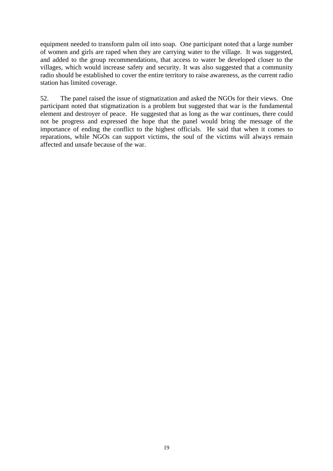equipment needed to transform palm oil into soap. One participant noted that a large number of women and girls are raped when they are carrying water to the village. It was suggested, and added to the group recommendations, that access to water be developed closer to the villages, which would increase safety and security. It was also suggested that a community radio should be established to cover the entire territory to raise awareness, as the current radio station has limited coverage.

52. The panel raised the issue of stigmatization and asked the NGOs for their views. One participant noted that stigmatization is a problem but suggested that war is the fundamental element and destroyer of peace. He suggested that as long as the war continues, there could not be progress and expressed the hope that the panel would bring the message of the importance of ending the conflict to the highest officials. He said that when it comes to reparations, while NGOs can support victims, the soul of the victims will always remain affected and unsafe because of the war.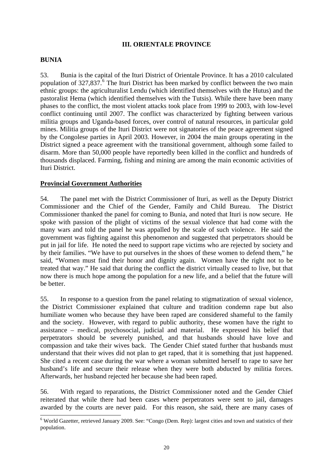## **III. ORIENTALE PROVINCE**

### **BUNIA**

53. Bunia is the capital of the Ituri District of Orientale Province. It has a 2010 calculated population of  $327,837$ .<sup>[6](#page-19-0)</sup> The Ituri District has been marked by conflict between the two main ethnic groups: the agriculturalist Lendu (which identified themselves with the Hutus) and the pastoralist Hema (which identified themselves with the Tutsis). While there have been many phases to the conflict, the most violent attacks took place from 1999 to 2003, with low-level conflict continuing until 2007. The conflict was characterized by fighting between various militia groups and Uganda-based forces, over control of natural resources, in particular gold mines. Militia groups of the Ituri District were not signatories of the peace agreement signed by the Congolese parties in April 2003. However, in 2004 the main groups operating in the District signed a peace agreement with the transitional government, although some failed to disarm. More than 50,000 people have reportedly been killed in the conflict and hundreds of thousands displaced. Farming, fishing and mining are among the main economic activities of Ituri District.

### **Provincial Government Authorities**

54. The panel met with the District Commissioner of Ituri, as well as the Deputy District Commissioner and the Chief of the Gender, Family and Child Bureau. The District Commissioner thanked the panel for coming to Bunia, and noted that Ituri is now secure. He spoke with passion of the plight of victims of the sexual violence that had come with the many wars and told the panel he was appalled by the scale of such violence. He said the government was fighting against this phenomenon and suggested that perpetrators should be put in jail for life. He noted the need to support rape victims who are rejected by society and by their families. "We have to put ourselves in the shoes of these women to defend them," he said, "Women must find their honor and dignity again. Women have the right not to be treated that way." He said that during the conflict the district virtually ceased to live, but that now there is much hope among the population for a new life, and a belief that the future will be better.

55. In response to a question from the panel relating to stigmatization of sexual violence, the District Commissioner explained that culture and tradition condemn rape but also humiliate women who because they have been raped are considered shameful to the family and the society. However, with regard to public authority, these women have the right to assistance – medical, psychosocial, judicial and material. He expressed his belief that perpetrators should be severely punished, and that husbands should have love and compassion and take their wives back. The Gender Chief stated further that husbands must understand that their wives did not plan to get raped, that it is something that just happened. She cited a recent case during the war where a woman submitted herself to rape to save her husband's life and secure their release when they were both abducted by militia forces. Afterwards, her husband rejected her because she had been raped.

56. With regard to reparations, the District Commissioner noted and the Gender Chief reiterated that while there had been cases where perpetrators were sent to jail, damages awarded by the courts are never paid. For this reason, she said, there are many cases of

<span id="page-19-0"></span><sup>&</sup>lt;sup>6</sup> World Gazetter, retrieved January 2009. See: "Congo (Dem. Rep): largest cities and town and statistics of their population.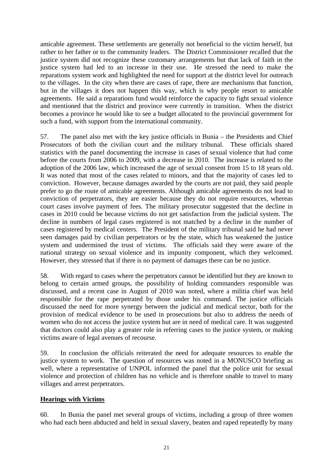amicable agreement. These settlements are generally not beneficial to the victim herself, but rather to her father or to the community leaders. The District Commissioner recalled that the justice system did not recognize these customary arrangements but that lack of faith in the justice system had led to an increase in their use. He stressed the need to make the reparations system work and highlighted the need for support at the district level for outreach to the villages. In the city when there are cases of rape, there are mechanisms that function, but in the villages it does not happen this way, which is why people resort to amicable agreements. He said a reparations fund would reinforce the capacity to fight sexual violence and mentioned that the district and province were currently in transition. When the district becomes a province he would like to see a budget allocated to the provincial government for such a fund, with support from the international community.

57. The panel also met with the key justice officials in Bunia – the Presidents and Chief Prosecutors of both the civilian court and the military tribunal. These officials shared statistics with the panel documenting the increase in cases of sexual violence that had come before the courts from 2006 to 2009, with a decrease in 2010. The increase is related to the adoption of the 2006 law, which increased the age of sexual consent from 15 to 18 years old. It was noted that most of the cases related to minors, and that the majority of cases led to conviction. However, because damages awarded by the courts are not paid, they said people prefer to go the route of amicable agreements. Although amicable agreements do not lead to conviction of perpetrators, they are easier because they do not require resources, whereas court cases involve payment of fees. The military prosecutor suggested that the decline in cases in 2010 could be because victims do not get satisfaction from the judicial system. The decline in numbers of legal cases registered is not matched by a decline in the number of cases registered by medical centers. The President of the military tribunal said he had never seen damages paid by civilian perpetrators or by the state, which has weakened the justice system and undermined the trust of victims. The officials said they were aware of the national strategy on sexual violence and its impunity component, which they welcomed. However, they stressed that if there is no payment of damages there can be no justice.

58. With regard to cases where the perpetrators cannot be identified but they are known to belong to certain armed groups, the possibility of holding commanders responsible was discussed, and a recent case in August of 2010 was noted, where a militia chief was held responsible for the rape perpetrated by those under his command. The justice officials discussed the need for more synergy between the judicial and medical sector, both for the provision of medical evidence to be used in prosecutions but also to address the needs of women who do not access the justice system but are in need of medical care. It was suggested that doctors could also play a greater role in referring cases to the justice system, or making victims aware of legal avenues of recourse.

59. In conclusion the officials reiterated the need for adequate resources to enable the justice system to work. The question of resources was noted in a MONUSCO briefing as well, where a representative of UNPOL informed the panel that the police unit for sexual violence and protection of children has no vehicle and is therefore unable to travel to many villages and arrest perpetrators.

# **Hearings with Victims**

60. In Bunia the panel met several groups of victims, including a group of three women who had each been abducted and held in sexual slavery, beaten and raped repeatedly by many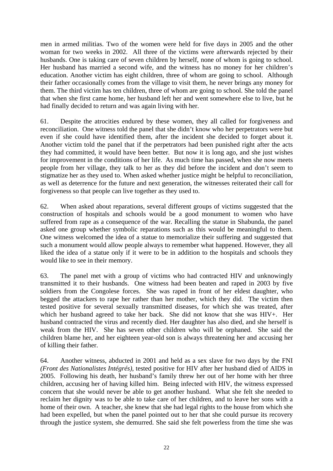men in armed militias. Two of the women were held for five days in 2005 and the other woman for two weeks in 2002. All three of the victims were afterwards rejected by their husbands. One is taking care of seven children by herself, none of whom is going to school. Her husband has married a second wife, and the witness has no money for her children's education. Another victim has eight children, three of whom are going to school. Although their father occasionally comes from the village to visit them, he never brings any money for them. The third victim has ten children, three of whom are going to school. She told the panel that when she first came home, her husband left her and went somewhere else to live, but he had finally decided to return and was again living with her.

61. Despite the atrocities endured by these women, they all called for forgiveness and reconciliation. One witness told the panel that she didn't know who her perpetrators were but even if she could have identified them, after the incident she decided to forget about it. Another victim told the panel that if the perpetrators had been punished right after the acts they had committed, it would have been better. But now it is long ago, and she just wishes for improvement in the conditions of her life. As much time has passed, when she now meets people from her village, they talk to her as they did before the incident and don't seem to stigmatize her as they used to. When asked whether justice might be helpful to reconciliation, as well as deterrence for the future and next generation, the witnesses reiterated their call for forgiveness so that people can live together as they used to.

62. When asked about reparations, several different groups of victims suggested that the construction of hospitals and schools would be a good monument to women who have suffered from rape as a consequence of the war. Recalling the statue in Shabunda, the panel asked one group whether symbolic reparations such as this would be meaningful to them. One witness welcomed the idea of a statue to memorialize their suffering and suggested that such a monument would allow people always to remember what happened. However, they all liked the idea of a statue only if it were to be in addition to the hospitals and schools they would like to see in their memory.

63. The panel met with a group of victims who had contracted HIV and unknowingly transmitted it to their husbands. One witness had been beaten and raped in 2003 by five soldiers from the Congolese forces. She was raped in front of her eldest daughter, who begged the attackers to rape her rather than her mother, which they did. The victim then tested positive for several sexually transmitted diseases, for which she was treated, after which her husband agreed to take her back. She did not know that she was HIV+. Her husband contracted the virus and recently died. Her daughter has also died, and she herself is weak from the HIV. She has seven other children who will be orphaned. She said the children blame her, and her eighteen year-old son is always threatening her and accusing her of killing their father.

64. Another witness, abducted in 2001 and held as a sex slave for two days by the FNI *(Front des Nationalistes Intégrés)*, tested positive for HIV after her husband died of AIDS in 2005. Following his death, her husband's family threw her out of her home with her three children, accusing her of having killed him. Being infected with HIV, the witness expressed concern that she would never be able to get another husband. What she felt she needed to reclaim her dignity was to be able to take care of her children, and to leave her sons with a home of their own. A teacher, she knew that she had legal rights to the house from which she had been expelled, but when the panel pointed out to her that she could pursue its recovery through the justice system, she demurred. She said she felt powerless from the time she was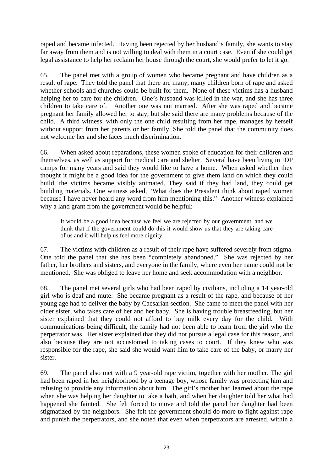raped and became infected. Having been rejected by her husband's family, she wants to stay far away from them and is not willing to deal with them in a court case. Even if she could get legal assistance to help her reclaim her house through the court, she would prefer to let it go.

65. The panel met with a group of women who became pregnant and have children as a result of rape. They told the panel that there are many, many children born of rape and asked whether schools and churches could be built for them. None of these victims has a husband helping her to care for the children. One's husband was killed in the war, and she has three children to take care of. Another one was not married. After she was raped and became pregnant her family allowed her to stay, but she said there are many problems because of the child. A third witness, with only the one child resulting from her rape, manages by herself without support from her parents or her family. She told the panel that the community does not welcome her and she faces much discrimination.

66. When asked about reparations, these women spoke of education for their children and themselves, as well as support for medical care and shelter. Several have been living in IDP camps for many years and said they would like to have a home. When asked whether they thought it might be a good idea for the government to give them land on which they could build, the victims became visibly animated. They said if they had land, they could get building materials. One witness asked, "What does the President think about raped women because I have never heard any word from him mentioning this." Another witness explained why a land grant from the government would be helpful:

It would be a good idea because we feel we are rejected by our government, and we think that if the government could do this it would show us that they are taking care of us and it will help us feel more dignity.

67. The victims with children as a result of their rape have suffered severely from stigma. One told the panel that she has been "completely abandoned." She was rejected by her father, her brothers and sisters, and everyone in the family, where even her name could not be mentioned. She was obliged to leave her home and seek accommodation with a neighbor.

68. The panel met several girls who had been raped by civilians, including a 14 year-old girl who is deaf and mute. She became pregnant as a result of the rape, and because of her young age had to deliver the baby by Caesarian section. She came to meet the panel with her older sister, who takes care of her and her baby. She is having trouble breastfeeding, but her sister explained that they could not afford to buy milk every day for the child. With communications being difficult, the family had not been able to learn from the girl who the perpetrator was. Her sister explained that they did not pursue a legal case for this reason, and also because they are not accustomed to taking cases to court. If they knew who was responsible for the rape, she said she would want him to take care of the baby, or marry her sister.

69. The panel also met with a 9 year-old rape victim, together with her mother. The girl had been raped in her neighborhood by a teenage boy, whose family was protecting him and refusing to provide any information about him. The girl's mother had learned about the rape when she was helping her daughter to take a bath, and when her daughter told her what had happened she fainted. She felt forced to move and told the panel her daughter had been stigmatized by the neighbors. She felt the government should do more to fight against rape and punish the perpetrators, and she noted that even when perpetrators are arrested, within a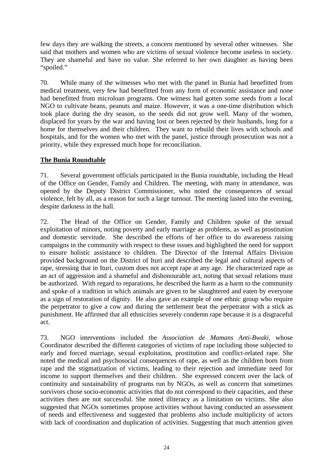few days they are walking the streets, a concern mentioned by several other witnesses. She said that mothers and women who are victims of sexual violence become useless in society. They are shameful and have no value. She referred to her own daughter as having been "spoiled."

70. While many of the witnesses who met with the panel in Bunia had benefitted from medical treatment, very few had benefitted from any form of economic assistance and none had benefitted from microloan programs. One witness had gotten some seeds from a local NGO to cultivate beans, peanuts and maize. However, it was a one-time distribution which took place during the dry season, so the seeds did not grow well. Many of the women, displaced for years by the war and having lost or been rejected by their husbands, long for a home for themselves and their children. They want to rebuild their lives with schools and hospitals, and for the women who met with the panel, justice through prosecution was not a priority, while they expressed much hope for reconciliation.

# **The Bunia Roundtable**

71. Several government officials participated in the Bunia roundtable, including the Head of the Office on Gender, Family and Children. The meeting, with many in attendance, was opened by the Deputy District Commissioner, who noted the consequences of sexual violence, felt by all, as a reason for such a large turnout. The meeting lasted into the evening, despite darkness in the hall.

72. The Head of the Office on Gender, Family and Children spoke of the sexual exploitation of minors, noting poverty and early marriage as problems, as well as prostitution and domestic servitude. She described the efforts of her office to do awareness raising campaigns in the community with respect to these issues and highlighted the need for support to ensure holistic assistance to children. The Director of the Internal Affairs Division provided background on the District of Ituri and described the legal and cultural aspects of rape, stressing that in Ituri, custom does not accept rape at any age. He characterized rape as an act of aggression and a shameful and dishonourable act, noting that sexual relations must be authorized. With regard to reparations, he described the harm as a harm to the community and spoke of a tradition in which animals are given to be slaughtered and eaten by everyone as a sign of restoration of dignity. He also gave an example of one ethnic group who require the perpetrator to give a cow and during the settlement beat the perpetrator with a stick as punishment. He affirmed that all ethnicities severely condemn rape because it is a disgraceful act.

73. NGO interventions included the *Association de Mamans Anti-Bwaki*, whose Coordinator described the different categories of victims of rape including those subjected to early and forced marriage, sexual exploitation, prostitution and conflict-related rape. She noted the medical and psychosocial consequences of rape, as well as the children born from rape and the stigmatization of victims, leading to their rejection and immediate need for income to support themselves and their children. She expressed concern over the lack of continuity and sustainability of programs run by NGOs, as well as concern that sometimes survivors chose socio-economic activities that do not correspond to their capacities, and these activities then are not successful. She noted illiteracy as a limitation on victims. She also suggested that NGOs sometimes propose activities without having conducted an assessment of needs and effectiveness and suggested that problems also include multiplicity of actors with lack of coordination and duplication of activities. Suggesting that much attention given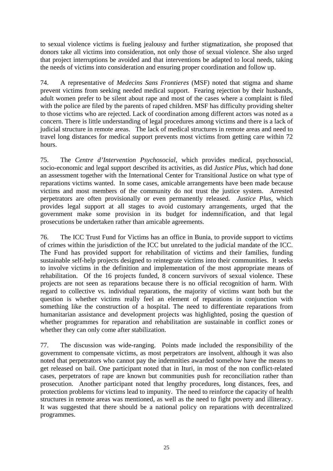to sexual violence victims is fueling jealousy and further stigmatization, she proposed that donors take all victims into consideration, not only those of sexual violence. She also urged that project interruptions be avoided and that interventions be adapted to local needs, taking the needs of victims into consideration and ensuring proper coordination and follow up.

74. A representative of *Medecins Sans Frontieres* (MSF) noted that stigma and shame prevent victims from seeking needed medical support. Fearing rejection by their husbands, adult women prefer to be silent about rape and most of the cases where a complaint is filed with the police are filed by the parents of raped children. MSF has difficulty providing shelter to those victims who are rejected. Lack of coordination among different actors was noted as a concern. There is little understanding of legal procedures among victims and there is a lack of judicial structure in remote areas. The lack of medical structures in remote areas and need to travel long distances for medical support prevents most victims from getting care within 72 hours.

75. The *Centre d'Intervention Psychosocial*, which provides medical, psychosocial, socio-economic and legal support described its activities, as did *Justice Plus*, which had done an assessment together with the International Center for Transitional Justice on what type of reparations victims wanted. In some cases, amicable arrangements have been made because victims and most members of the community do not trust the justice system. Arrested perpetrators are often provisionally or even permanently released. *Justice Plus*, which provides legal support at all stages to avoid customary arrangements, urged that the government make some provision in its budget for indemnification, and that legal prosecutions be undertaken rather than amicable agreements.

76. The ICC Trust Fund for Victims has an office in Bunia, to provide support to victims of crimes within the jurisdiction of the ICC but unrelated to the judicial mandate of the ICC. The Fund has provided support for rehabilitation of victims and their families, funding sustainable self-help projects designed to reintegrate victims into their communities. It seeks to involve victims in the definition and implementation of the most appropriate means of rehabilitation. Of the 16 projects funded, 8 concern survivors of sexual violence. These projects are not seen as reparations because there is no official recognition of harm. With regard to collective vs. individual reparations, the majority of victims want both but the question is whether victims really feel an element of reparations in conjunction with something like the construction of a hospital. The need to differentiate reparations from humanitarian assistance and development projects was highlighted, posing the question of whether programmes for reparation and rehabilitation are sustainable in conflict zones or whether they can only come after stabilization.

77. The discussion was wide-ranging. Points made included the responsibility of the government to compensate victims, as most perpetrators are insolvent, although it was also noted that perpetrators who cannot pay the indemnities awarded somehow have the means to get released on bail. One participant noted that in Ituri, in most of the non conflict-related cases, perpetrators of rape are known but communities push for reconciliation rather than prosecution. Another participant noted that lengthy procedures, long distances, fees, and protection problems for victims lead to impunity. The need to reinforce the capacity of health structures in remote areas was mentioned, as well as the need to fight poverty and illiteracy. It was suggested that there should be a national policy on reparations with decentralized programmes.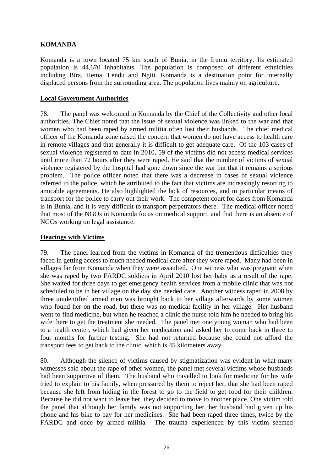# **KOMANDA**

Komanda is a town located 75 km south of Bunia, in the Irumu territory. Its estimated population is 44,670 inhabitants. The population is composed of different ethnicities including Bira, Hema, Lendu and Ngiti. Komanda is a destination point for internally displaced persons from the surrounding area. The population lives mainly on agriculture.

## **Local Government Authorities**

78. The panel was welcomed in Komanda by the Chief of the Collectivity and other local authorities. The Chief noted that the issue of sexual violence was linked to the war and that women who had been raped by armed militia often lost their husbands. The chief medical officer of the Komanda zone raised the concern that women do not have access to health care in remote villages and that generally it is difficult to get adequate care. Of the 103 cases of sexual violence registered to date in 2010, 59 of the victims did not access medical services until more than 72 hours after they were raped. He said that the number of victims of sexual violence registered by the hospital had gone down since the war but that it remains a serious problem. The police officer noted that there was a decrease in cases of sexual violence referred to the police, which he attributed to the fact that victims are increasingly resorting to amicable agreements. He also highlighted the lack of resources, and in particular means of transport for the police to carry out their work. The competent court for cases from Komanda is in Bunia, and it is very difficult to transport perpetrators there. The medical officer noted that most of the NGOs in Komanda focus on medical support, and that there is an absence of NGOs working on legal assistance.

## **Hearings with Victims**

79. The panel learned from the victims in Komanda of the tremendous difficulties they faced in getting access to much needed medical care after they were raped. Many had been in villages far from Komanda when they were assaulted. One witness who was pregnant when she was raped by two FARDC soldiers in April 2010 lost her baby as a result of the rape. She waited for three days to get emergency health services from a mobile clinic that was not scheduled to be in her village on the day she needed care. Another witness raped in 2008 by three unidentified armed men was brought back to her village afterwards by some women who found her on the road, but there was no medical facility in her village. Her husband went to find medicine, but when he reached a clinic the nurse told him he needed to bring his wife there to get the treatment she needed. The panel met one young woman who had been to a health center, which had given her medication and asked her to come back in three to four months for further testing. She had not returned because she could not afford the transport fees to get back to the clinic, which is 45 kilometers away.

80. Although the silence of victims caused by stigmatization was evident in what many witnesses said about the rape of other women, the panel met several victims whose husbands had been supportive of them. The husband who travelled to look for medicine for his wife tried to explain to his family, when pressured by them to reject her, that she had been raped because she left from hiding in the forest to go to the field to get food for their children. Because he did not want to leave her, they decided to move to another place. One victim told the panel that although her family was not supporting her, her husband had given up his phone and his bike to pay for her medicines. She had been raped three times, twice by the FARDC and once by armed militia. The trauma experienced by this victim seemed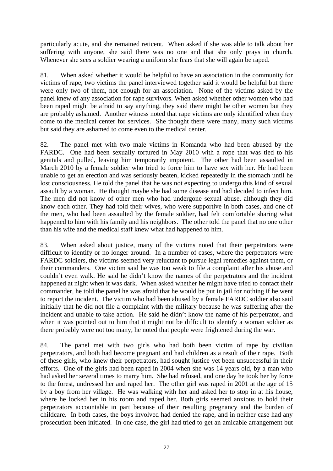particularly acute, and she remained reticent. When asked if she was able to talk about her suffering with anyone, she said there was no one and that she only prays in church. Whenever she sees a soldier wearing a uniform she fears that she will again be raped.

81. When asked whether it would be helpful to have an association in the community for victims of rape, two victims the panel interviewed together said it would be helpful but there were only two of them, not enough for an association. None of the victims asked by the panel knew of any association for rape survivors. When asked whether other women who had been raped might be afraid to say anything, they said there might be other women but they are probably ashamed. Another witness noted that rape victims are only identified when they come to the medical center for services. She thought there were many, many such victims but said they are ashamed to come even to the medical center.

82. The panel met with two male victims in Komanda who had been abused by the FARDC. One had been sexually tortured in May 2010 with a rope that was tied to his genitals and pulled, leaving him temporarily impotent. The other had been assaulted in March 2010 by a female soldier who tried to force him to have sex with her. He had been unable to get an erection and was seriously beaten, kicked repeatedly in the stomach until he lost consciousness. He told the panel that he was not expecting to undergo this kind of sexual assault by a woman. He thought maybe she had some disease and had decided to infect him. The men did not know of other men who had undergone sexual abuse, although they did know each other. They had told their wives, who were supportive in both cases, and one of the men, who had been assaulted by the female soldier, had felt comfortable sharing what happened to him with his family and his neighbors. The other told the panel that no one other than his wife and the medical staff knew what had happened to him.

83. When asked about justice, many of the victims noted that their perpetrators were difficult to identify or no longer around. In a number of cases, where the perpetrators were FARDC soldiers, the victims seemed very reluctant to pursue legal remedies against them, or their commanders. One victim said he was too weak to file a complaint after his abuse and couldn't even walk. He said he didn't know the names of the perpetrators and the incident happened at night when it was dark. When asked whether he might have tried to contact their commander, he told the panel he was afraid that he would be put in jail for nothing if he went to report the incident. The victim who had been abused by a female FARDC soldier also said initially that he did not file a complaint with the military because he was suffering after the incident and unable to take action. He said he didn't know the name of his perpetrator, and when it was pointed out to him that it might not be difficult to identify a woman soldier as there probably were not too many, he noted that people were frightened during the war.

84. The panel met with two girls who had both been victim of rape by civilian perpetrators, and both had become pregnant and had children as a result of their rape. Both of these girls, who knew their perpetrators, had sought justice yet been unsuccessful in their efforts. One of the girls had been raped in 2004 when she was 14 years old, by a man who had asked her several times to marry him. She had refused, and one day he took her by force to the forest, undressed her and raped her. The other girl was raped in 2001 at the age of 15 by a boy from her village. He was walking with her and asked her to stop in at his house, where he locked her in his room and raped her. Both girls seemed anxious to hold their perpetrators accountable in part because of their resulting pregnancy and the burden of childcare. In both cases, the boys involved had denied the rape, and in neither case had any prosecution been initiated. In one case, the girl had tried to get an amicable arrangement but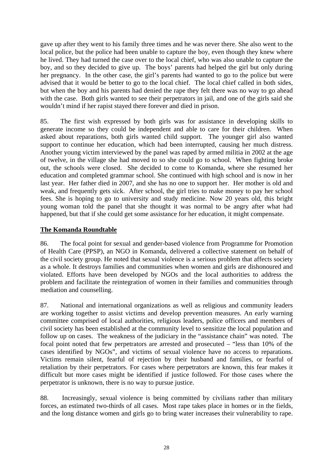gave up after they went to his family three times and he was never there. She also went to the local police, but the police had been unable to capture the boy, even though they knew where he lived. They had turned the case over to the local chief, who was also unable to capture the boy, and so they decided to give up. The boys' parents had helped the girl but only during her pregnancy. In the other case, the girl's parents had wanted to go to the police but were advised that it would be better to go to the local chief. The local chief called in both sides, but when the boy and his parents had denied the rape they felt there was no way to go ahead with the case. Both girls wanted to see their perpetrators in jail, and one of the girls said she wouldn't mind if her rapist stayed there forever and died in prison.

85. The first wish expressed by both girls was for assistance in developing skills to generate income so they could be independent and able to care for their children. When asked about reparations, both girls wanted child support. The younger girl also wanted support to continue her education, which had been interrupted, causing her much distress. Another young victim interviewed by the panel was raped by armed militia in 2002 at the age of twelve, in the village she had moved to so she could go to school. When fighting broke out, the schools were closed. She decided to come to Komanda, where she resumed her education and completed grammar school. She continued with high school and is now in her last year. Her father died in 2007, and she has no one to support her. Her mother is old and weak, and frequently gets sick. After school, the girl tries to make money to pay her school fees. She is hoping to go to university and study medicine. Now 20 years old, this bright young woman told the panel that she thought it was normal to be angry after what had happened, but that if she could get some assistance for her education, it might compensate.

# **The Komanda Roundtable**

86. The focal point for sexual and gender-based violence from Programme for Promotion of Health Care (PPSP), an NGO in Komanda, delivered a collective statement on behalf of the civil society group. He noted that sexual violence is a serious problem that affects society as a whole. It destroys families and communities when women and girls are dishonoured and violated. Efforts have been developed by NGOs and the local authorities to address the problem and facilitate the reintegration of women in their families and communities through mediation and counselling.

87. National and international organizations as well as religious and community leaders are working together to assist victims and develop prevention measures. An early warning committee comprised of local authorities, religious leaders, police officers and members of civil society has been established at the community level to sensitize the local population and follow up on cases. The weakness of the judiciary in the "assistance chain" was noted. The focal point noted that few perpetrators are arrested and prosecuted – "less than 10% of the cases identified by NGOs", and victims of sexual violence have no access to reparations. Victims remain silent, fearful of rejection by their husband and families, or fearful of retaliation by their perpetrators. For cases where perpetrators are known, this fear makes it difficult but more cases might be identified if justice followed. For those cases where the perpetrator is unknown, there is no way to pursue justice.

88. Increasingly, sexual violence is being committed by civilians rather than military forces, an estimated two-thirds of all cases. Most rape takes place in homes or in the fields, and the long distance women and girls go to bring water increases their vulnerability to rape.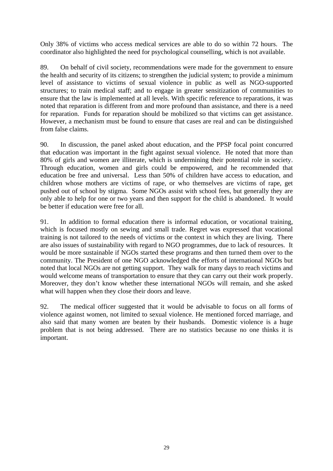Only 38% of victims who access medical services are able to do so within 72 hours. The coordinator also highlighted the need for psychological counselling, which is not available.

89. On behalf of civil society, recommendations were made for the government to ensure the health and security of its citizens; to strengthen the judicial system; to provide a minimum level of assistance to victims of sexual violence in public as well as NGO-supported structures; to train medical staff; and to engage in greater sensitization of communities to ensure that the law is implemented at all levels. With specific reference to reparations, it was noted that reparation is different from and more profound than assistance, and there is a need for reparation. Funds for reparation should be mobilized so that victims can get assistance. However, a mechanism must be found to ensure that cases are real and can be distinguished from false claims.

90. In discussion, the panel asked about education, and the PPSP focal point concurred that education was important in the fight against sexual violence. He noted that more than 80% of girls and women are illiterate, which is undermining their potential role in society. Through education, women and girls could be empowered, and he recommended that education be free and universal. Less than 50% of children have access to education, and children whose mothers are victims of rape, or who themselves are victims of rape, get pushed out of school by stigma. Some NGOs assist with school fees, but generally they are only able to help for one or two years and then support for the child is abandoned. It would be better if education were free for all.

91. In addition to formal education there is informal education, or vocational training, which is focused mostly on sewing and small trade. Regret was expressed that vocational training is not tailored to the needs of victims or the context in which they are living. There are also issues of sustainability with regard to NGO programmes, due to lack of resources. It would be more sustainable if NGOs started these programs and then turned them over to the community. The President of one NGO acknowledged the efforts of international NGOs but noted that local NGOs are not getting support. They walk for many days to reach victims and would welcome means of transportation to ensure that they can carry out their work properly. Moreover, they don't know whether these international NGOs will remain, and she asked what will happen when they close their doors and leave.

92. The medical officer suggested that it would be advisable to focus on all forms of violence against women, not limited to sexual violence. He mentioned forced marriage, and also said that many women are beaten by their husbands. Domestic violence is a huge problem that is not being addressed. There are no statistics because no one thinks it is important.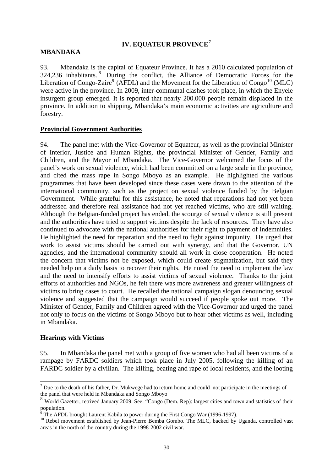## **IV. EQUATEUR PROVINCE[7](#page-29-0)**

## **MBANDAKA**

93. Mbandaka is the capital of Equateur Province. It has a 2010 calculated population of 324,236 inhabitants. [8](#page-29-1) During the conflict, the Alliance of Democratic Forces for the Liberation of Congo-Zaire<sup>[9](#page-29-2)</sup> (AFDL) and the Movement for the Liberation of Congo<sup>[10](#page-29-3)</sup> (MLC) were active in the province. In 2009, inter-communal clashes took place, in which the Enyele insurgent group emerged. It is reported that nearly 200.000 people remain displaced in the province. In addition to shipping, Mbandaka's main economic activities are agriculture and forestry.

## **Provincial Government Authorities**

94. The panel met with the Vice-Governor of Equateur, as well as the provincial Minister of Interior, Justice and Human Rights, the provincial Minister of Gender, Family and Children, and the Mayor of Mbandaka. The Vice-Governor welcomed the focus of the panel's work on sexual violence, which had been committed on a large scale in the province, and cited the mass rape in Songo Mboyo as an example. He highlighted the various programmes that have been developed since these cases were drawn to the attention of the international community, such as the project on sexual violence funded by the Belgian Government. While grateful for this assistance, he noted that reparations had not yet been addressed and therefore real assistance had not yet reached victims, who are still waiting. Although the Belgian-funded project has ended, the scourge of sexual violence is still present and the authorities have tried to support victims despite the lack of resources. They have also continued to advocate with the national authorities for their right to payment of indemnities. He highlighted the need for reparation and the need to fight against impunity. He urged that work to assist victims should be carried out with synergy, and that the Governor, UN agencies, and the international community should all work in close cooperation. He noted the concern that victims not be exposed, which could create stigmatization, but said they needed help on a daily basis to recover their rights. He noted the need to implement the law and the need to intensify efforts to assist victims of sexual violence. Thanks to the joint efforts of authorities and NGOs, he felt there was more awareness and greater willingness of victims to bring cases to court. He recalled the national campaign slogan denouncing sexual violence and suggested that the campaign would succeed if people spoke out more. The Minister of Gender, Family and Children agreed with the Vice-Governor and urged the panel not only to focus on the victims of Songo Mboyo but to hear other victims as well, including in Mbandaka.

### **Hearings with Victims**

95. In Mbandaka the panel met with a group of five women who had all been victims of a rampage by FARDC soldiers which took place in July 2005, following the killing of an FARDC soldier by a civilian. The killing, beating and rape of local residents, and the looting

<span id="page-29-0"></span> $\overline{a}$  $<sup>7</sup>$  Due to the death of his father, Dr. Mukwege had to return home and could not participate in the meetings of</sup> the panel that were held in Mbandaka and Songo Mboyo

<span id="page-29-1"></span><sup>8</sup> World Gazetter, retrived January 2009. See: "Congo (Dem. Rep): largest cities and town and statistics of their population.

The AFDL brought Laurent Kabila to power during the First Congo War (1996-1997).

<span id="page-29-3"></span><span id="page-29-2"></span><sup>&</sup>lt;sup>10</sup> Rebel movement established by Jean-Pierre Bemba Gombo. The MLC, backed by Uganda, controlled vast areas in the north of the country during the 1998-2002 civil war.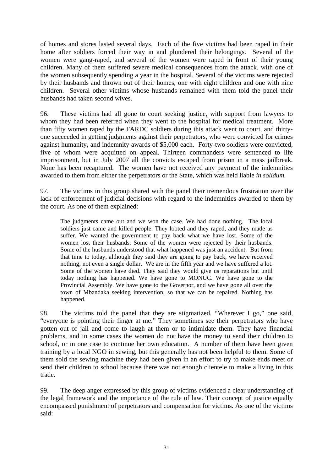of homes and stores lasted several days. Each of the five victims had been raped in their home after soldiers forced their way in and plundered their belongings. Several of the women were gang-raped, and several of the women were raped in front of their young children. Many of them suffered severe medical consequences from the attack, with one of the women subsequently spending a year in the hospital. Several of the victims were rejected by their husbands and thrown out of their homes, one with eight children and one with nine children. Several other victims whose husbands remained with them told the panel their husbands had taken second wives.

96. These victims had all gone to court seeking justice, with support from lawyers to whom they had been referred when they went to the hospital for medical treatment. More than fifty women raped by the FARDC soldiers during this attack went to court, and thirtyone succeeded in getting judgments against their perpetrators, who were convicted for crimes against humanity, and indemnity awards of \$5,000 each. Forty-two soldiers were convicted, five of whom were acquitted on appeal. Thirteen commanders were sentenced to life imprisonment, but in July 2007 all the convicts escaped from prison in a mass jailbreak. None has been recaptured. The women have not received any payment of the indemnities awarded to them from either the perpetrators or the State, which was held liable *in solidum.* 

97. The victims in this group shared with the panel their tremendous frustration over the lack of enforcement of judicial decisions with regard to the indemnities awarded to them by the court. As one of them explained:

The judgments came out and we won the case. We had done nothing. The local soldiers just came and killed people. They looted and they raped, and they made us suffer. We wanted the government to pay back what we have lost. Some of the women lost their husbands. Some of the women were rejected by their husbands. Some of the husbands understood that what happened was just an accident. But from that time to today, although they said they are going to pay back, we have received nothing, not even a single dollar. We are in the fifth year and we have suffered a lot. Some of the women have died. They said they would give us reparations but until today nothing has happened. We have gone to MONUC. We have gone to the Provincial Assembly. We have gone to the Governor, and we have gone all over the town of Mbandaka seeking intervention, so that we can be repaired. Nothing has happened.

98. The victims told the panel that they are stigmatized. "Wherever I go," one said, "everyone is pointing their finger at me." They sometimes see their perpetrators who have gotten out of jail and come to laugh at them or to intimidate them. They have financial problems, and in some cases the women do not have the money to send their children to school, or in one case to continue her own education. A number of them have been given training by a local NGO in sewing, but this generally has not been helpful to them. Some of them sold the sewing machine they had been given in an effort to try to make ends meet or send their children to school because there was not enough clientele to make a living in this trade.

99. The deep anger expressed by this group of victims evidenced a clear understanding of the legal framework and the importance of the rule of law. Their concept of justice equally encompassed punishment of perpetrators and compensation for victims. As one of the victims said: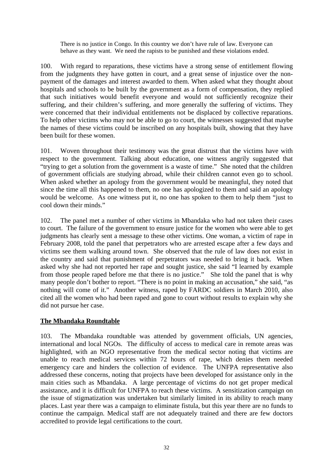There is no justice in Congo. In this country we don't have rule of law. Everyone can behave as they want. We need the rapists to be punished and these violations ended.

100. With regard to reparations, these victims have a strong sense of entitlement flowing from the judgments they have gotten in court, and a great sense of injustice over the nonpayment of the damages and interest awarded to them. When asked what they thought about hospitals and schools to be built by the government as a form of compensation, they replied that such initiatives would benefit everyone and would not sufficiently recognize their suffering, and their children's suffering, and more generally the suffering of victims. They were concerned that their individual entitlements not be displaced by collective reparations. To help other victims who may not be able to go to court, the witnesses suggested that maybe the names of these victims could be inscribed on any hospitals built, showing that they have been built for these women.

101. Woven throughout their testimony was the great distrust that the victims have with respect to the government. Talking about education, one witness angrily suggested that "trying to get a solution from the government is a waste of time." She noted that the children of government officials are studying abroad, while their children cannot even go to school. When asked whether an apology from the government would be meaningful, they noted that since the time all this happened to them, no one has apologized to them and said an apology would be welcome. As one witness put it, no one has spoken to them to help them "just to cool down their minds."

102. The panel met a number of other victims in Mbandaka who had not taken their cases to court. The failure of the government to ensure justice for the women who were able to get judgments has clearly sent a message to these other victims. One woman, a victim of rape in February 2008, told the panel that perpetrators who are arrested escape after a few days and victims see them walking around town. She observed that the rule of law does not exist in the country and said that punishment of perpetrators was needed to bring it back. When asked why she had not reported her rape and sought justice, she said "I learned by example from those people raped before me that there is no justice." She told the panel that is why many people don't bother to report. "There is no point in making an accusation," she said, "as nothing will come of it." Another witness, raped by FARDC soldiers in March 2010, also cited all the women who had been raped and gone to court without results to explain why she did not pursue her case.

# **The Mbandaka Roundtable**

103. The Mbandaka roundtable was attended by government officials, UN agencies, international and local NGOs. The difficulty of access to medical care in remote areas was highlighted, with an NGO representative from the medical sector noting that victims are unable to reach medical services within 72 hours of rape, which denies them needed emergency care and hinders the collection of evidence. The UNFPA representative also addressed these concerns, noting that projects have been developed for assistance only in the main cities such as Mbandaka. A large percentage of victims do not get proper medical assistance, and it is difficult for UNFPA to reach these victims. A sensitization campaign on the issue of stigmatization was undertaken but similarly limited in its ability to reach many places. Last year there was a campaign to eliminate fistula, but this year there are no funds to continue the campaign. Medical staff are not adequately trained and there are few doctors accredited to provide legal certifications to the court.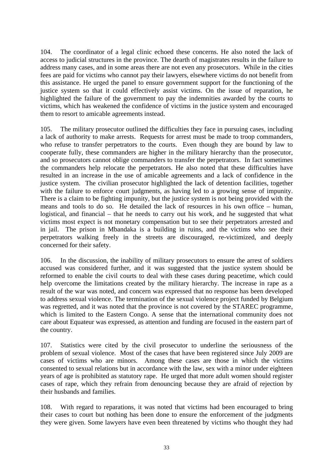104. The coordinator of a legal clinic echoed these concerns. He also noted the lack of access to judicial structures in the province. The dearth of magistrates results in the failure to address many cases, and in some areas there are not even any prosecutors. While in the cities fees are paid for victims who cannot pay their lawyers, elsewhere victims do not benefit from this assistance. He urged the panel to ensure government support for the functioning of the justice system so that it could effectively assist victims. On the issue of reparation, he highlighted the failure of the government to pay the indemnities awarded by the courts to victims, which has weakened the confidence of victims in the justice system and encouraged them to resort to amicable agreements instead.

105. The military prosecutor outlined the difficulties they face in pursuing cases, including a lack of authority to make arrests. Requests for arrest must be made to troop commanders, who refuse to transfer perpetrators to the courts. Even though they are bound by law to cooperate fully, these commanders are higher in the military hierarchy than the prosecutor, and so prosecutors cannot oblige commanders to transfer the perpetrators. In fact sometimes the commanders help relocate the perpetrators. He also noted that these difficulties have resulted in an increase in the use of amicable agreements and a lack of confidence in the justice system. The civilian prosecutor highlighted the lack of detention facilities, together with the failure to enforce court judgments, as having led to a growing sense of impunity. There is a claim to be fighting impunity, but the justice system is not being provided with the means and tools to do so. He detailed the lack of resources in his own office – human, logistical, and financial – that he needs to carry out his work, and he suggested that what victims most expect is not monetary compensation but to see their perpetrators arrested and in jail. The prison in Mbandaka is a building in ruins, and the victims who see their perpetrators walking freely in the streets are discouraged, re-victimized, and deeply concerned for their safety.

106. In the discussion, the inability of military prosecutors to ensure the arrest of soldiers accused was considered further, and it was suggested that the justice system should be reformed to enable the civil courts to deal with these cases during peacetime, which could help overcome the limitations created by the military hierarchy. The increase in rape as a result of the war was noted, and concern was expressed that no response has been developed to address sexual violence. The termination of the sexual violence project funded by Belgium was regretted, and it was noted that the province is not covered by the STAREC programme, which is limited to the Eastern Congo. A sense that the international community does not care about Equateur was expressed, as attention and funding are focused in the eastern part of the country.

107. Statistics were cited by the civil prosecutor to underline the seriousness of the problem of sexual violence. Most of the cases that have been registered since July 2009 are cases of victims who are minors. Among these cases are those in which the victims consented to sexual relations but in accordance with the law, sex with a minor under eighteen years of age is prohibited as statutory rape. He urged that more adult women should register cases of rape, which they refrain from denouncing because they are afraid of rejection by their husbands and families.

108. With regard to reparations, it was noted that victims had been encouraged to bring their cases to court but nothing has been done to ensure the enforcement of the judgments they were given. Some lawyers have even been threatened by victims who thought they had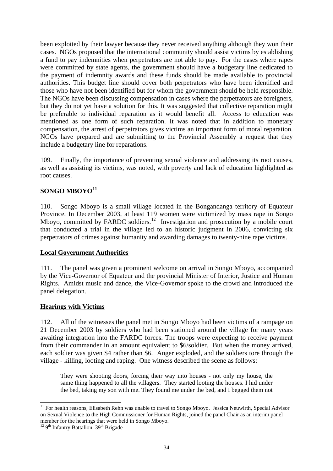been exploited by their lawyer because they never received anything although they won their cases. NGOs proposed that the international community should assist victims by establishing a fund to pay indemnities when perpetrators are not able to pay. For the cases where rapes were committed by state agents, the government should have a budgetary line dedicated to the payment of indemnity awards and these funds should be made available to provincial authorities. This budget line should cover both perpetrators who have been identified and those who have not been identified but for whom the government should be held responsible. The NGOs have been discussing compensation in cases where the perpetrators are foreigners, but they do not yet have a solution for this. It was suggested that collective reparation might be preferable to individual reparation as it would benefit all. Access to education was mentioned as one form of such reparation. It was noted that in addition to monetary compensation, the arrest of perpetrators gives victims an important form of moral reparation. NGOs have prepared and are submitting to the Provincial Assembly a request that they include a budgetary line for reparations.

109. Finally, the importance of preventing sexual violence and addressing its root causes, as well as assisting its victims, was noted, with poverty and lack of education highlighted as root causes.

# **SONGO MBOYO[11](#page-33-0)**

110. Songo Mboyo is a small village located in the Bongandanga territory of Equateur Province. In December 2003, at least 119 women were victimized by mass rape in Songo Mboyo, committed by FARDC soldiers.<sup>[12](#page-33-1)</sup> Investigation and prosecution by a mobile court that conducted a trial in the village led to an historic judgment in 2006, convicting six perpetrators of crimes against humanity and awarding damages to twenty-nine rape victims.

### **Local Government Authorities**

111. The panel was given a prominent welcome on arrival in Songo Mboyo, accompanied by the Vice-Governor of Equateur and the provincial Minister of Interior, Justice and Human Rights. Amidst music and dance, the Vice-Governor spoke to the crowd and introduced the panel delegation.

### **Hearings with Victims**

112. All of the witnesses the panel met in Songo Mboyo had been victims of a rampage on 21 December 2003 by soldiers who had been stationed around the village for many years awaiting integration into the FARDC forces. The troops were expecting to receive payment from their commander in an amount equivalent to \$6/soldier. But when the money arrived, each soldier was given \$4 rather than \$6. Anger exploded, and the soldiers tore through the village - killing, looting and raping. One witness described the scene as follows:

They were shooting doors, forcing their way into houses - not only my house, the same thing happened to all the villagers. They started looting the houses. I hid under the bed, taking my son with me. They found me under the bed, and I begged them not

 $\overline{a}$ 

<span id="page-33-0"></span><sup>&</sup>lt;sup>11</sup> For health reasons, Elisabeth Rehn was unable to travel to Songo Mboyo. Jessica Neuwirth, Special Advisor on Sexual Violence to the High Commissioner for Human Rights, joined the panel Chair as an interim panel member for the hearings that were held in Songo Mboyo.

<span id="page-33-1"></span> $12$  9<sup>th</sup> Infantry Battalion,  $39<sup>th</sup>$  Brigade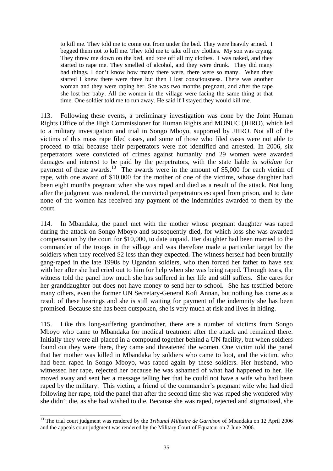to kill me. They told me to come out from under the bed. They were heavily armed. I begged them not to kill me. They told me to take off my clothes. My son was crying. They threw me down on the bed, and tore off all my clothes. I was naked, and they started to rape me. They smelled of alcohol, and they were drunk. They did many bad things. I don't know how many there were, there were so many. When they started I knew there were three but then I lost consciousness. There was another woman and they were raping her. She was two months pregnant, and after the rape she lost her baby. All the women in the village were facing the same thing at that time. One soldier told me to run away. He said if I stayed they would kill me.

113. Following these events, a preliminary investigation was done by the Joint Human Rights Office of the High Commissioner for Human Rights and MONUC (JHRO), which led to a military investigation and trial in Songo Mboyo, supported by JHRO. Not all of the victims of this mass rape filed cases, and some of those who filed cases were not able to proceed to trial because their perpetrators were not identified and arrested. In 2006, six perpetrators were convicted of crimes against humanity and 29 women were awarded damages and interest to be paid by the perpetrators, with the state liable *in solidum* for payment of these awards.<sup>[13](#page-34-0)</sup> The awards were in the amount of \$5,000 for each victim of rape, with one award of \$10,000 for the mother of one of the victims, whose daughter had been eight months pregnant when she was raped and died as a result of the attack. Not long after the judgment was rendered, the convicted perpetrators escaped from prison, and to date none of the women has received any payment of the indemnities awarded to them by the court.

114. In Mbandaka, the panel met with the mother whose pregnant daughter was raped during the attack on Songo Mboyo and subsequently died, for which loss she was awarded compensation by the court for \$10,000, to date unpaid. Her daughter had been married to the commander of the troops in the village and was therefore made a particular target by the soldiers when they received \$2 less than they expected. The witness herself had been brutally gang-raped in the late 1990s by Ugandan soldiers, who then forced her father to have sex with her after she had cried out to him for help when she was being raped. Through tears, the witness told the panel how much she has suffered in her life and still suffers. She cares for her granddaughter but does not have money to send her to school. She has testified before many others, even the former UN Secretary-General Kofi Annan, but nothing has come as a result of these hearings and she is still waiting for payment of the indemnity she has been promised. Because she has been outspoken, she is very much at risk and lives in hiding.

115. Like this long-suffering grandmother, there are a number of victims from Songo Mboyo who came to Mbandaka for medical treatment after the attack and remained there. Initially they were all placed in a compound together behind a UN facility, but when soldiers found out they were there, they came and threatened the women. One victim told the panel that her mother was killed in Mbandaka by soldiers who came to loot, and the victim, who had been raped in Songo Mboyo, was raped again by these soldiers. Her husband, who witnessed her rape, rejected her because he was ashamed of what had happened to her. He moved away and sent her a message telling her that he could not have a wife who had been raped by the military. This victim, a friend of the commander's pregnant wife who had died following her rape, told the panel that after the second time she was raped she wondered why she didn't die, as she had wished to die. Because she was raped, rejected and stigmatized, she

<span id="page-34-0"></span> $\overline{a}$ <sup>13</sup> The trial court judgment was rendered by the *Tribunal Militaire de Garnison* of Mbandaka on 12 April 2006 and the appeals court judgment was rendered by the Military Court of Equateur on 7 June 2006.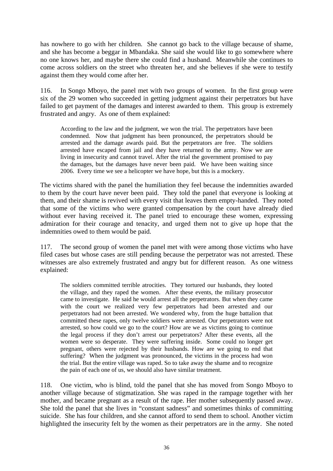has nowhere to go with her children. She cannot go back to the village because of shame, and she has become a beggar in Mbandaka. She said she would like to go somewhere where no one knows her, and maybe there she could find a husband. Meanwhile she continues to come across soldiers on the street who threaten her, and she believes if she were to testify against them they would come after her.

116. In Songo Mboyo, the panel met with two groups of women. In the first group were six of the 29 women who succeeded in getting judgment against their perpetrators but have failed to get payment of the damages and interest awarded to them. This group is extremely frustrated and angry. As one of them explained:

According to the law and the judgment, we won the trial. The perpetrators have been condemned. Now that judgment has been pronounced, the perpetrators should be arrested and the damage awards paid. But the perpetrators are free. The soldiers arrested have escaped from jail and they have returned to the army. Now we are living in insecurity and cannot travel. After the trial the government promised to pay the damages, but the damages have never been paid. We have been waiting since 2006. Every time we see a helicopter we have hope, but this is a mockery.

The victims shared with the panel the humiliation they feel because the indemnities awarded to them by the court have never been paid. They told the panel that everyone is looking at them, and their shame is revived with every visit that leaves them empty-handed. They noted that some of the victims who were granted compensation by the court have already died without ever having received it. The panel tried to encourage these women, expressing admiration for their courage and tenacity, and urged them not to give up hope that the indemnities owed to them would be paid.

117. The second group of women the panel met with were among those victims who have filed cases but whose cases are still pending because the perpetrator was not arrested. These witnesses are also extremely frustrated and angry but for different reason. As one witness explained:

The soldiers committed terrible atrocities. They tortured our husbands, they looted the village, and they raped the women. After these events, the military prosecutor came to investigate. He said he would arrest all the perpetrators. But when they came with the court we realized very few perpetrators had been arrested and our perpetrators had not been arrested. We wondered why, from the huge battalion that committed these rapes, only twelve soldiers were arrested. Our perpetrators were not arrested, so how could we go to the court? How are we as victims going to continue the legal process if they don't arrest our perpetrators? After these events, all the women were so desperate. They were suffering inside. Some could no longer get pregnant, others were rejected by their husbands. How are we going to end that suffering? When the judgment was pronounced, the victims in the process had won the trial. But the entire village was raped. So to take away the shame and to recognize the pain of each one of us, we should also have similar treatment.

118. One victim, who is blind, told the panel that she has moved from Songo Mboyo to another village because of stigmatization. She was raped in the rampage together with her mother, and became pregnant as a result of the rape. Her mother subsequently passed away. She told the panel that she lives in "constant sadness" and sometimes thinks of committing suicide. She has four children, and she cannot afford to send them to school. Another victim highlighted the insecurity felt by the women as their perpetrators are in the army. She noted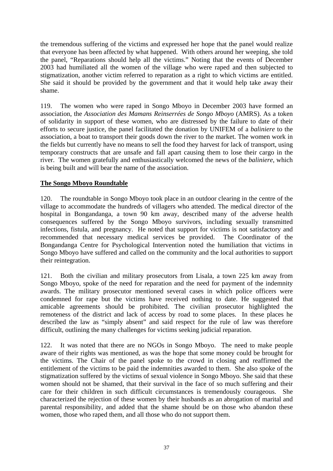the tremendous suffering of the victims and expressed her hope that the panel would realize that everyone has been affected by what happened. With others around her weeping, she told the panel, "Reparations should help all the victims." Noting that the events of December 2003 had humiliated all the women of the village who were raped and then subjected to stigmatization, another victim referred to reparation as a right to which victims are entitled. She said it should be provided by the government and that it would help take away their shame.

119. The women who were raped in Songo Mboyo in December 2003 have formed an association, the *Association des Mamans Reinserrées de Songo Mboyo* (AMRS). As a token of solidarity in support of these women, who are distressed by the failure to date of their efforts to secure justice, the panel facilitated the donation by UNIFEM of a *baliniere* to the association, a boat to transport their goods down the river to the market. The women work in the fields but currently have no means to sell the food they harvest for lack of transport, using temporary constructs that are unsafe and fall apart causing them to lose their cargo in the river. The women gratefully and enthusiastically welcomed the news of the *baliniere*, which is being built and will bear the name of the association.

# **The Songo Mboyo Roundtable**

120. The roundtable in Songo Mboyo took place in an outdoor clearing in the centre of the village to accommodate the hundreds of villagers who attended. The medical director of the hospital in Bongandanga, a town 90 km away, described many of the adverse health consequences suffered by the Songo Mboyo survivors, including sexually transmitted infections, fistula, and pregnancy. He noted that support for victims is not satisfactory and recommended that necessary medical services be provided. The Coordinator of the Bongandanga Centre for Psychological Intervention noted the humiliation that victims in Songo Mboyo have suffered and called on the community and the local authorities to support their reintegration.

121. Both the civilian and military prosecutors from Lisala, a town 225 km away from Songo Mboyo, spoke of the need for reparation and the need for payment of the indemnity awards. The military prosecutor mentioned several cases in which police officers were condemned for rape but the victims have received nothing to date. He suggested that amicable agreements should be prohibited. The civilian prosecutor highlighted the remoteness of the district and lack of access by road to some places. In these places he described the law as "simply absent" and said respect for the rule of law was therefore difficult, outlining the many challenges for victims seeking judicial reparation.

122. It was noted that there are no NGOs in Songo Mboyo. The need to make people aware of their rights was mentioned, as was the hope that some money could be brought for the victims. The Chair of the panel spoke to the crowd in closing and reaffirmed the entitlement of the victims to be paid the indemnities awarded to them. She also spoke of the stigmatization suffered by the victims of sexual violence in Songo Mboyo. She said that these women should not be shamed, that their survival in the face of so much suffering and their care for their children in such difficult circumstances is tremendously courageous. She characterized the rejection of these women by their husbands as an abrogation of marital and parental responsibility, and added that the shame should be on those who abandon these women, those who raped them, and all those who do not support them.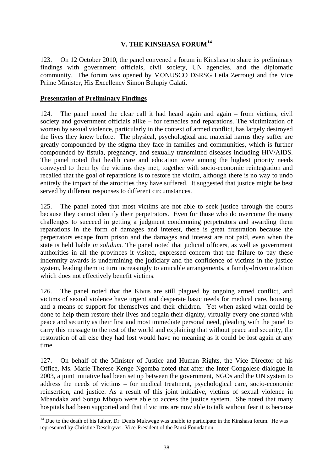# **V. THE KINSHASA FORUM[14](#page-37-0)**

123. On 12 October 2010, the panel convened a forum in Kinshasa to share its preliminary findings with government officials, civil society, UN agencies, and the diplomatic community. The forum was opened by MONUSCO DSRSG Leila Zerrougi and the Vice Prime Minister, His Excellency Simon Bulupiy Galati.

## **Presentation of Preliminary Findings**

 $\overline{a}$ 

124. The panel noted the clear call it had heard again and again – from victims, civil society and government officials alike – for remedies and reparations. The victimization of women by sexual violence, particularly in the context of armed conflict, has largely destroyed the lives they knew before. The physical, psychological and material harms they suffer are greatly compounded by the stigma they face in families and communities, which is further compounded by fistula, pregnancy, and sexually transmitted diseases including HIV/AIDS. The panel noted that health care and education were among the highest priority needs conveyed to them by the victims they met, together with socio-economic reintegration and recalled that the goal of reparations is to restore the victim, although there is no way to undo entirely the impact of the atrocities they have suffered. It suggested that justice might be best served by different responses to different circumstances.

125. The panel noted that most victims are not able to seek justice through the courts because they cannot identify their perpetrators. Even for those who do overcome the many challenges to succeed in getting a judgment condemning perpetrators and awarding them reparations in the form of damages and interest, there is great frustration because the perpetrators escape from prison and the damages and interest are not paid, even when the state is held liable *in solidum*. The panel noted that judicial officers, as well as government authorities in all the provinces it visited, expressed concern that the failure to pay these indemnity awards is undermining the judiciary and the confidence of victims in the justice system, leading them to turn increasingly to amicable arrangements, a family-driven tradition which does not effectively benefit victims.

126. The panel noted that the Kivus are still plagued by ongoing armed conflict, and victims of sexual violence have urgent and desperate basic needs for medical care, housing, and a means of support for themselves and their children. Yet when asked what could be done to help them restore their lives and regain their dignity, virtually every one started with peace and security as their first and most immediate personal need, pleading with the panel to carry this message to the rest of the world and explaining that without peace and security, the restoration of all else they had lost would have no meaning as it could be lost again at any time.

127. On behalf of the Minister of Justice and Human Rights, the Vice Director of his Office, Ms. Marie-Therese Kenge Ngomba noted that after the Inter-Congolese dialogue in 2003, a joint initiative had been set up between the government, NGOs and the UN system to address the needs of victims – for medical treatment, psychological care, socio-economic reinsertion, and justice. As a result of this joint initiative, victims of sexual violence in Mbandaka and Songo Mboyo were able to access the justice system. She noted that many hospitals had been supported and that if victims are now able to talk without fear it is because

<span id="page-37-0"></span><sup>&</sup>lt;sup>14</sup> Due to the death of his father, Dr. Denis Mukwege was unable to participate in the Kinshasa forum. He was represented by Christine Deschryver, Vice-President of the Panzi Foundation.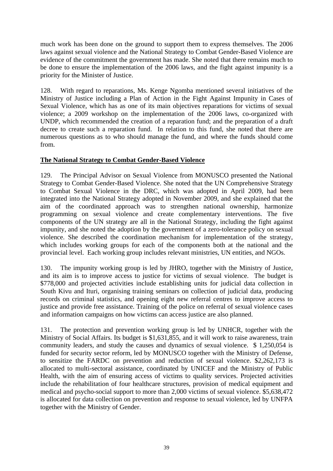much work has been done on the ground to support them to express themselves. The 2006 laws against sexual violence and the National Strategy to Combat Gender-Based Violence are evidence of the commitment the government has made. She noted that there remains much to be done to ensure the implementation of the 2006 laws, and the fight against impunity is a priority for the Minister of Justice.

128. With regard to reparations, Ms. Kenge Ngomba mentioned several initiatives of the Ministry of Justice including a Plan of Action in the Fight Against Impunity in Cases of Sexual Violence, which has as one of its main objectives reparations for victims of sexual violence; a 2009 workshop on the implementation of the 2006 laws, co-organized with UNDP, which recommended the creation of a reparation fund; and the preparation of a draft decree to create such a reparation fund. In relation to this fund, she noted that there are numerous questions as to who should manage the fund, and where the funds should come from.

# **The National Strategy to Combat Gender-Based Violence**

129. The Principal Advisor on Sexual Violence from MONUSCO presented the National Strategy to Combat Gender-Based Violence. She noted that the UN Comprehensive Strategy to Combat Sexual Violence in the DRC, which was adopted in April 2009, had been integrated into the National Strategy adopted in November 2009, and she explained that the aim of the coordinated approach was to strengthen national ownership, harmonize programming on sexual violence and create complementary interventions. The five components of the UN strategy are all in the National Strategy, including the fight against impunity, and she noted the adoption by the government of a zero-tolerance policy on sexual violence. She described the coordination mechanism for implementation of the strategy, which includes working groups for each of the components both at the national and the provincial level. Each working group includes relevant ministries, UN entities, and NGOs.

130. The impunity working group is led by JHRO, together with the Ministry of Justice, and its aim is to improve access to justice for victims of sexual violence. The budget is \$778,000 and projected activities include establishing units for judicial data collection in South Kivu and Ituri, organising training seminars on collection of judicial data, producing records on criminal statistics, and opening eight new referral centres to improve access to justice and provide free assistance. Training of the police on referral of sexual violence cases and information campaigns on how victims can access justice are also planned.

131. The protection and prevention working group is led by UNHCR, together with the Ministry of Social Affairs. Its budget is \$1,631,855, and it will work to raise awareness, train community leaders, and study the causes and dynamics of sexual violence. \$ 1,250,054 is funded for security sector reform, led by MONUSCO together with the Ministry of Defense, to sensitize the FARDC on prevention and reduction of sexual violence. \$2,262,173 is allocated to multi-sectoral assistance, coordinated by UNICEF and the Ministry of Public Health, with the aim of ensuring access of victims to quality services. Projected activities include the rehabilitation of four healthcare structures, provision of medical equipment and medical and psycho-social support to more than 2,000 victims of sexual violence. \$5,638,472 is allocated for data collection on prevention and response to sexual violence, led by UNFPA together with the Ministry of Gender.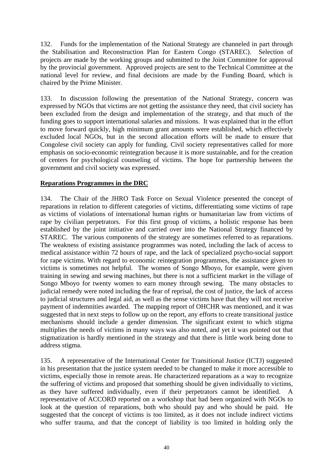132. Funds for the implementation of the National Strategy are channeled in part through the Stabilisation and Reconstruction Plan for Eastern Congo (STAREC). Selection of projects are made by the working groups and submitted to the Joint Committee for approval by the provincial government. Approved projects are sent to the Technical Committee at the national level for review, and final decisions are made by the Funding Board, which is chaired by the Prime Minister.

133. In discussion following the presentation of the National Strategy, concern was expressed by NGOs that victims are not getting the assistance they need, that civil society has been excluded from the design and implementation of the strategy, and that much of the funding goes to support international salaries and missions. It was explained that in the effort to move forward quickly, high minimum grant amounts were established, which effectively excluded local NGOs, but in the second allocation efforts will be made to ensure that Congolese civil society can apply for funding. Civil society representatives called for more emphasis on socio-economic reintegration because it is more sustainable, and for the creation of centers for psychological counseling of victims. The hope for partnership between the government and civil society was expressed.

# **Reparations Programmes in the DRC**

134. The Chair of the JHRO Task Force on Sexual Violence presented the concept of reparations in relation to different categories of victims, differentiating some victims of rape as victims of violations of international human rights or humanitarian law from victims of rape by civilian perpetrators. For this first group of victims, a holistic response has been established by the joint initiative and carried over into the National Strategy financed by STAREC. The various components of the strategy are sometimes referred to as reparations. The weakness of existing assistance programmes was noted, including the lack of access to medical assistance within 72 hours of rape, and the lack of specialized psycho-social support for rape victims. With regard to economic reintegration programmes, the assistance given to victims is sometimes not helpful. The women of Songo Mboyo, for example, were given training in sewing and sewing machines, but there is not a sufficient market in the village of Songo Mboyo for twenty women to earn money through sewing. The many obstacles to judicial remedy were noted including the fear of reprisal, the cost of justice, the lack of access to judicial structures and legal aid, as well as the sense victims have that they will not receive payment of indemnities awarded. The mapping report of OHCHR was mentioned, and it was suggested that in next steps to follow up on the report, any efforts to create transitional justice mechanisms should include a gender dimension. The significant extent to which stigma multiplies the needs of victims in many ways was also noted, and yet it was pointed out that stigmatization is hardly mentioned in the strategy and that there is little work being done to address stigma.

135. A representative of the International Center for Transitional Justice (ICTJ) suggested in his presentation that the justice system needed to be changed to make it more accessible to victims, especially those in remote areas. He characterized reparations as a way to recognize the suffering of victims and proposed that something should be given individually to victims, as they have suffered individually, even if their perpetrators cannot be identified. A representative of ACCORD reported on a workshop that had been organized with NGOs to look at the question of reparations, both who should pay and who should be paid. He suggested that the concept of victims is too limited, as it does not include indirect victims who suffer trauma, and that the concept of liability is too limited in holding only the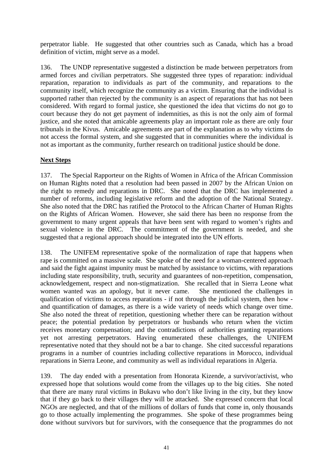perpetrator liable. He suggested that other countries such as Canada, which has a broad definition of victim, might serve as a model.

136. The UNDP representative suggested a distinction be made between perpetrators from armed forces and civilian perpetrators. She suggested three types of reparation: individual reparation, reparation to individuals as part of the community, and reparations to the community itself, which recognize the community as a victim. Ensuring that the individual is supported rather than rejected by the community is an aspect of reparations that has not been considered. With regard to formal justice, she questioned the idea that victims do not go to court because they do not get payment of indemnities, as this is not the only aim of formal justice, and she noted that amicable agreements play an important role as there are only four tribunals in the Kivus. Amicable agreements are part of the explanation as to why victims do not access the formal system, and she suggested that in communities where the individual is not as important as the community, further research on traditional justice should be done.

# **Next Steps**

137. The Special Rapporteur on the Rights of Women in Africa of the African Commission on Human Rights noted that a resolution had been passed in 2007 by the African Union on the right to remedy and reparations in DRC. She noted that the DRC has implemented a number of reforms, including legislative reform and the adoption of the National Strategy. She also noted that the DRC has ratified the Protocol to the African Charter of Human Rights on the Rights of African Women. However, she said there has been no response from the government to many urgent appeals that have been sent with regard to women's rights and sexual violence in the DRC. The commitment of the government is needed, and she suggested that a regional approach should be integrated into the UN efforts.

138. The UNIFEM representative spoke of the normalization of rape that happens when rape is committed on a massive scale. She spoke of the need for a woman-centered approach and said the fight against impunity must be matched by assistance to victims, with reparations including state responsibility, truth, security and guarantees of non-repetition, compensation, acknowledgement, respect and non-stigmatization. She recalled that in Sierra Leone what women wanted was an apology, but it never came. She mentioned the challenges in qualification of victims to access reparations - if not through the judicial system, then how and quantification of damages, as there is a wide variety of needs which change over time. She also noted the threat of repetition, questioning whether there can be reparation without peace; the potential predation by perpetrators or husbands who return when the victim receives monetary compensation; and the contradictions of authorities granting reparations yet not arresting perpetrators. Having enumerated these challenges, the UNIFEM representative noted that they should not be a bar to change. She cited successful reparations programs in a number of countries including collective reparations in Morocco, individual reparations in Sierra Leone, and community as well as individual reparations in Algeria.

139. The day ended with a presentation from Honorata Kizende, a survivor/activist, who expressed hope that solutions would come from the villages up to the big cities. She noted that there are many rural victims in Bukavu who don't like living in the city, but they know that if they go back to their villages they will be attacked. She expressed concern that local NGOs are neglected, and that of the millions of dollars of funds that come in, only thousands go to those actually implementing the programmes. She spoke of these programmes being done without survivors but for survivors, with the consequence that the programmes do not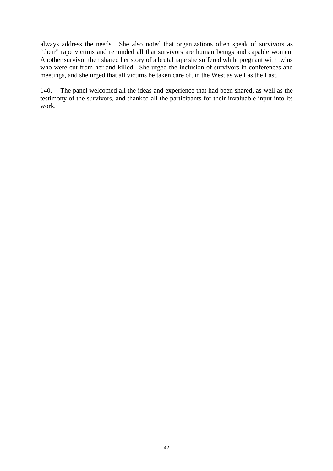always address the needs. She also noted that organizations often speak of survivors as "their" rape victims and reminded all that survivors are human beings and capable women. Another survivor then shared her story of a brutal rape she suffered while pregnant with twins who were cut from her and killed. She urged the inclusion of survivors in conferences and meetings, and she urged that all victims be taken care of, in the West as well as the East.

140. The panel welcomed all the ideas and experience that had been shared, as well as the testimony of the survivors, and thanked all the participants for their invaluable input into its work.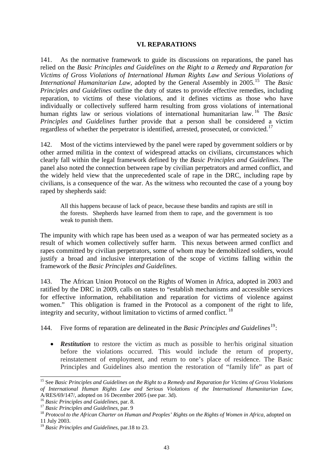### **VI. REPARATIONS**

141. As the normative framework to guide its discussions on reparations, the panel has relied on the *Basic Principles and Guidelines on the Right to a Remedy and Reparation for Victims of Gross Violations of International Human Rights Law and Serious Violations of International Humanitarian Law, adopted by the General Assembly in 2005.*<sup>[15](#page-42-0)</sup> The *Basic Principles and Guidelines* outline the duty of states to provide effective remedies, including reparation, to victims of these violations, and it defines victims as those who have individually or collectively suffered harm resulting from gross violations of international human rights law or serious violations of international humanitarian law. [16](#page-42-1) The *Basic Principles and Guidelines* further provide that a person shall be considered a victim regardless of whether the perpetrator is identified, arrested, prosecuted, or convicted.[17](#page-42-2)

142. Most of the victims interviewed by the panel were raped by government soldiers or by other armed militia in the context of widespread attacks on civilians, circumstances which clearly fall within the legal framework defined by the *Basic Principles and Guidelines*. The panel also noted the connection between rape by civilian perpetrators and armed conflict, and the widely held view that the unprecedented scale of rape in the DRC, including rape by civilians, is a consequence of the war. As the witness who recounted the case of a young boy raped by shepherds said:

All this happens because of lack of peace, because these bandits and rapists are still in the forests. Shepherds have learned from them to rape, and the government is too weak to punish them.

The impunity with which rape has been used as a weapon of war has permeated society as a result of which women collectively suffer harm. This nexus between armed conflict and rapes committed by civilian perpetrators, some of whom may be demobilized soldiers, would justify a broad and inclusive interpretation of the scope of victims falling within the framework of the *Basic Principles and Guidelines.*

143. The African Union Protocol on the Rights of Women in Africa, adopted in 2003 and ratified by the DRC in 2009, calls on states to "establish mechanisms and accessible services for effective information, rehabilitation and reparation for victims of violence against women." This obligation is framed in the Protocol as a component of the right to life, integrity and security, without limitation to victims of armed conflict.  $18$ 

144. Five forms of reparation are delineated in the *Basic Principles and Guidelines*[19](#page-42-4):

• **Restitution** to restore the victim as much as possible to her/his original situation before the violations occurred. This would include the return of property, reinstatement of employment, and return to one's place of residence. The Basic Principles and Guidelines also mention the restoration of "family life" as part of

 $\overline{a}$ 

<span id="page-42-0"></span><sup>15</sup> See *Basic Principles and Guidelines on the Right to a Remedy and Reparation for Victims of Gross Violations of International Human Rights Law and Serious Violations of the International Humanitarian Law*,

<span id="page-42-3"></span>

<span id="page-42-2"></span><span id="page-42-1"></span><sup>&</sup>lt;sup>16</sup> Basic Principles and Guidelines, par. 8.<br><sup>17</sup> Basic Principles and Guidelines, par. 9<br><sup>18</sup> Protocol to the African Charter on Human and Peoples' Rights on the Rights of Women in Africa, adopted on 11 July 2003.

<span id="page-42-4"></span><sup>19</sup> *Basic Principles and Guidelines*, par.18 to 23.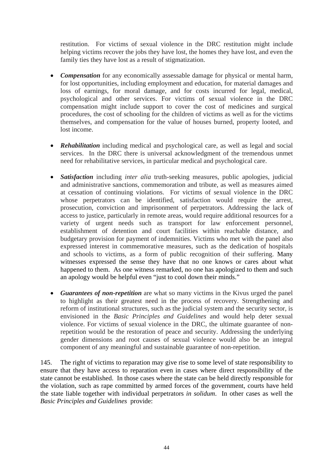restitution. For victims of sexual violence in the DRC restitution might include helping victims recover the jobs they have lost, the homes they have lost, and even the family ties they have lost as a result of stigmatization.

- *Compensation* for any economically assessable damage for physical or mental harm, for lost opportunities, including employment and education, for material damages and loss of earnings, for moral damage, and for costs incurred for legal, medical, psychological and other services. For victims of sexual violence in the DRC compensation might include support to cover the cost of medicines and surgical procedures, the cost of schooling for the children of victims as well as for the victims themselves, and compensation for the value of houses burned, property looted, and lost income.
- *Rehabilitation* including medical and psychological care, as well as legal and social services. In the DRC there is universal acknowledgment of the tremendous unmet need for rehabilitative services, in particular medical and psychological care.
- *Satisfaction* including *inter alia* truth-seeking measures, public apologies, judicial and administrative sanctions, commemoration and tribute, as well as measures aimed at cessation of continuing violations. For victims of sexual violence in the DRC whose perpetrators can be identified, satisfaction would require the arrest, prosecution, conviction and imprisonment of perpetrators. Addressing the lack of access to justice, particularly in remote areas, would require additional resources for a variety of urgent needs such as transport for law enforcement personnel, establishment of detention and court facilities within reachable distance, and budgetary provision for payment of indemnities. Victims who met with the panel also expressed interest in commemorative measures, such as the dedication of hospitals and schools to victims, as a form of public recognition of their suffering. Many witnesses expressed the sense they have that no one knows or cares about what happened to them. As one witness remarked, no one has apologized to them and such an apology would be helpful even "just to cool down their minds."
- *Guarantees of non-repetition* are what so many victims in the Kivus urged the panel to highlight as their greatest need in the process of recovery. Strengthening and reform of institutional structures, such as the judicial system and the security sector, is envisioned in the *Basic Principles and Guidelines* and would help deter sexual violence. For victims of sexual violence in the DRC, the ultimate guarantee of nonrepetition would be the restoration of peace and security. Addressing the underlying gender dimensions and root causes of sexual violence would also be an integral component of any meaningful and sustainable guarantee of non-repetition.

145. The right of victims to reparation may give rise to some level of state responsibility to ensure that they have access to reparation even in cases where direct responsibility of the state cannot be established. In those cases where the state can be held directly responsible for the violation, such as rape committed by armed forces of the government, courts have held the state liable together with individual perpetrators *in solidum*. In other cases as well the *Basic Principles and Guidelines* provide: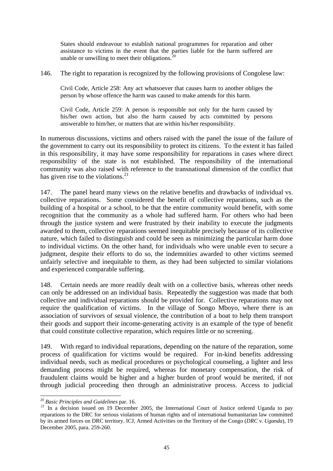States should endeavour to establish national programmes for reparation and other assistance to victims in the event that the parties liable for the harm suffered are unable or unwilling to meet their obligations. $^{20}$  $^{20}$  $^{20}$ 

146. The right to reparation is recognized by the following provisions of Congolese law:

Civil Code, Article 258: Any act whatsoever that causes harm to another obliges the person by whose offence the harm was caused to make amends for this harm.

Civil Code, Article 259: A person is responsible not only for the harm caused by his/her own action, but also the harm caused by acts committed by persons answerable to him/her, or matters that are within his/her responsibility.

In numerous discussions, victims and others raised with the panel the issue of the failure of the government to carry out its responsibility to protect its citizens. To the extent it has failed in this responsibility, it may have some responsibility for reparations in cases where direct responsibility of the state is not established. The responsibility of the international community was also raised with reference to the transnational dimension of the conflict that has given rise to the violations.<sup>[21](#page-44-1)</sup>

147. The panel heard many views on the relative benefits and drawbacks of individual vs. collective reparations. Some considered the benefit of collective reparations, such as the building of a hospital or a school, to be that the entire community would benefit, with some recognition that the community as a whole had suffered harm. For others who had been through the justice system and were frustrated by their inability to execute the judgments awarded to them, collective reparations seemed inequitable precisely because of its collective nature, which failed to distinguish and could be seen as minimizing the particular harm done to individual victims. On the other hand, for individuals who were unable even to secure a judgment, despite their efforts to do so, the indemnities awarded to other victims seemed unfairly selective and inequitable to them, as they had been subjected to similar violations and experienced comparable suffering.

148. Certain needs are more readily dealt with on a collective basis, whereas other needs can only be addressed on an individual basis. Repeatedly the suggestion was made that both collective and individual reparations should be provided for. Collective reparations may not require the qualification of victims. In the village of Songo Mboyo, where there is an association of survivors of sexual violence, the contribution of a boat to help them transport their goods and support their income-generating activity is an example of the type of benefit that could constitute collective reparation, which requires little or no screening.

149. With regard to individual reparations, depending on the nature of the reparation, some process of qualification for victims would be required. For in-kind benefits addressing individual needs, such as medical procedures or psychological counseling, a lighter and less demanding process might be required, whereas for monetary compensation, the risk of fraudulent claims would be higher and a higher burden of proof would be merited, if not through judicial proceeding then through an administrative process. Access to judicial

<span id="page-44-0"></span> $20$  Basic Principles and Guidelines par. 16.

<span id="page-44-1"></span><sup>&</sup>lt;sup>21</sup> In a decision issued on 19 December 2005, the International Court of Justice ordered Uganda to pay reparations to the DRC for serious violations of human rights and of international humanitarian law committed by its armed forces on DRC territory. ICJ, Armed Activities on the Territory of the Congo (*DRC* v. *Uganda*), 19 December 2005, para. 259-260.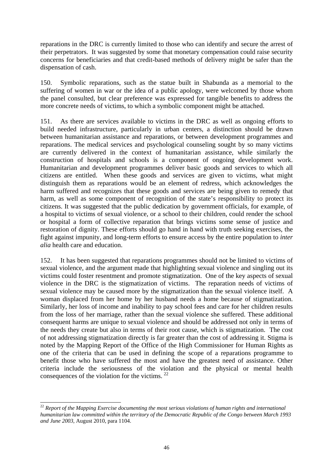reparations in the DRC is currently limited to those who can identify and secure the arrest of their perpetrators. It was suggested by some that monetary compensation could raise security concerns for beneficiaries and that credit-based methods of delivery might be safer than the dispensation of cash.

150. Symbolic reparations, such as the statue built in Shabunda as a memorial to the suffering of women in war or the idea of a public apology, were welcomed by those whom the panel consulted, but clear preference was expressed for tangible benefits to address the more concrete needs of victims, to which a symbolic component might be attached.

151. As there are services available to victims in the DRC as well as ongoing efforts to build needed infrastructure, particularly in urban centers, a distinction should be drawn between humanitarian assistance and reparations, or between development programmes and reparations. The medical services and psychological counseling sought by so many victims are currently delivered in the context of humanitarian assistance, while similarly the construction of hospitals and schools is a component of ongoing development work. Humanitarian and development programmes deliver basic goods and services to which all citizens are entitled. When these goods and services are given to victims, what might distinguish them as reparations would be an element of redress, which acknowledges the harm suffered and recognizes that these goods and services are being given to remedy that harm, as well as some component of recognition of the state's responsibility to protect its citizens. It was suggested that the public dedication by government officials, for example, of a hospital to victims of sexual violence, or a school to their children, could render the school or hospital a form of collective reparation that brings victims some sense of justice and restoration of dignity. These efforts should go hand in hand with truth seeking exercises, the fight against impunity, and long-term efforts to ensure access by the entire population to *inter alia* health care and education.

152. It has been suggested that reparations programmes should not be limited to victims of sexual violence, and the argument made that highlighting sexual violence and singling out its victims could foster resentment and promote stigmatization. One of the key aspects of sexual violence in the DRC is the stigmatization of victims. The reparation needs of victims of sexual violence may be caused more by the stigmatization than the sexual violence itself. A woman displaced from her home by her husband needs a home because of stigmatization. Similarly, her loss of income and inability to pay school fees and care for her children results from the loss of her marriage, rather than the sexual violence she suffered. These additional consequent harms are unique to sexual violence and should be addressed not only in terms of the needs they create but also in terms of their root cause, which is stigmatization. The cost of not addressing stigmatization directly is far greater than the cost of addressing it. Stigma is noted by the Mapping Report of the Office of the High Commissioner for Human Rights as one of the criteria that can be used in defining the scope of a reparations programme to benefit those who have suffered the most and have the greatest need of assistance. Other criteria include the seriousness of the violation and the physical or mental health consequences of the violation for the victims. <sup>[22](#page-45-0)</sup>

 $\overline{a}$ 

<span id="page-45-0"></span><sup>&</sup>lt;sup>22</sup> Report of the Mapping Exercise documenting the most serious violations of human rights and international *humanitarian law committed within the territory of the Democratic Republic of the Congo between March 1993 and June 2003*, August 2010, para 1104.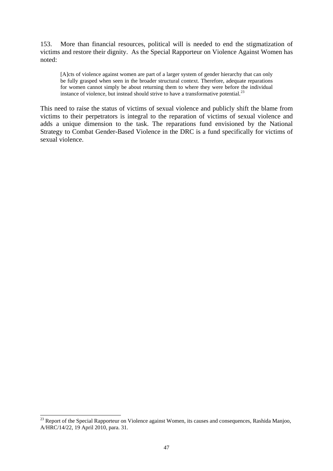153. More than financial resources, political will is needed to end the stigmatization of victims and restore their dignity. As the Special Rapporteur on Violence Against Women has noted:

[A]cts of violence against women are part of a larger system of gender hierarchy that can only be fully grasped when seen in the broader structural context. Therefore, adequate reparations for women cannot simply be about returning them to where they were before the individual instance of violence, but instead should strive to have a transformative potential.<sup>[23](#page-46-0)</sup>

This need to raise the status of victims of sexual violence and publicly shift the blame from victims to their perpetrators is integral to the reparation of victims of sexual violence and adds a unique dimension to the task. The reparations fund envisioned by the National Strategy to Combat Gender-Based Violence in the DRC is a fund specifically for victims of sexual violence.

 $\overline{a}$ 

<span id="page-46-0"></span> $^{23}$  Report of the Special Rapporteur on Violence against Women, its causes and consequences, Rashida Manjoo, A/HRC/14/22, 19 April 2010, para. 31.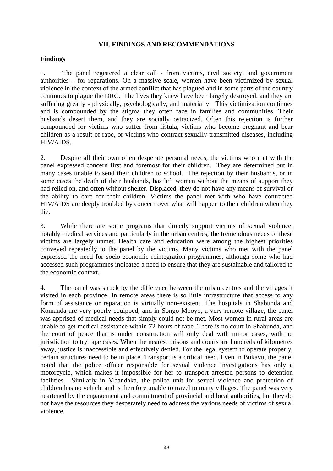## **VII. FINDINGS AND RECOMMENDATIONS**

## **Findings**

1. The panel registered a clear call - from victims, civil society, and government authorities – for reparations. On a massive scale, women have been victimized by sexual violence in the context of the armed conflict that has plagued and in some parts of the country continues to plague the DRC. The lives they knew have been largely destroyed, and they are suffering greatly - physically, psychologically, and materially. This victimization continues and is compounded by the stigma they often face in families and communities. Their husbands desert them, and they are socially ostracized. Often this rejection is further compounded for victims who suffer from fistula, victims who become pregnant and bear children as a result of rape, or victims who contract sexually transmitted diseases, including HIV/AIDS.

2. Despite all their own often desperate personal needs, the victims who met with the panel expressed concern first and foremost for their children. They are determined but in many cases unable to send their children to school. The rejection by their husbands, or in some cases the death of their husbands, has left women without the means of support they had relied on, and often without shelter. Displaced, they do not have any means of survival or the ability to care for their children. Victims the panel met with who have contracted HIV/AIDS are deeply troubled by concern over what will happen to their children when they die.

3. While there are some programs that directly support victims of sexual violence, notably medical services and particularly in the urban centres, the tremendous needs of these victims are largely unmet. Health care and education were among the highest priorities conveyed repeatedly to the panel by the victims. Many victims who met with the panel expressed the need for socio-economic reintegration programmes, although some who had accessed such programmes indicated a need to ensure that they are sustainable and tailored to the economic context.

4. The panel was struck by the difference between the urban centres and the villages it visited in each province. In remote areas there is so little infrastructure that access to any form of assistance or reparation is virtually non-existent. The hospitals in Shabunda and Komanda are very poorly equipped, and in Songo Mboyo, a very remote village, the panel was apprised of medical needs that simply could not be met. Most women in rural areas are unable to get medical assistance within 72 hours of rape. There is no court in Shabunda, and the court of peace that is under construction will only deal with minor cases, with no jurisdiction to try rape cases. When the nearest prisons and courts are hundreds of kilometres away, justice is inaccessible and effectively denied. For the legal system to operate properly, certain structures need to be in place. Transport is a critical need. Even in Bukavu, the panel noted that the police officer responsible for sexual violence investigations has only a motorcycle, which makes it impossible for her to transport arrested persons to detention facilities. Similarly in Mbandaka, the police unit for sexual violence and protection of children has no vehicle and is therefore unable to travel to many villages. The panel was very heartened by the engagement and commitment of provincial and local authorities, but they do not have the resources they desperately need to address the various needs of victims of sexual violence.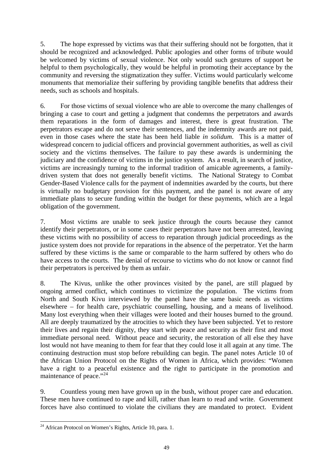5. The hope expressed by victims was that their suffering should not be forgotten, that it should be recognized and acknowledged. Public apologies and other forms of tribute would be welcomed by victims of sexual violence. Not only would such gestures of support be helpful to them psychologically, they would be helpful in promoting their acceptance by the community and reversing the stigmatization they suffer. Victims would particularly welcome monuments that memorialize their suffering by providing tangible benefits that address their needs, such as schools and hospitals.

6. For those victims of sexual violence who are able to overcome the many challenges of bringing a case to court and getting a judgment that condemns the perpetrators and awards them reparations in the form of damages and interest, there is great frustration. The perpetrators escape and do not serve their sentences, and the indemnity awards are not paid, even in those cases where the state has been held liable *in solidum*. This is a matter of widespread concern to judicial officers and provincial government authorities, as well as civil society and the victims themselves. The failure to pay these awards is undermining the judiciary and the confidence of victims in the justice system. As a result, in search of justice, victims are increasingly turning to the informal tradition of amicable agreements, a familydriven system that does not generally benefit victims. The National Strategy to Combat Gender-Based Violence calls for the payment of indemnities awarded by the courts, but there is virtually no budgetary provision for this payment, and the panel is not aware of any immediate plans to secure funding within the budget for these payments, which are a legal obligation of the government.

7. Most victims are unable to seek justice through the courts because they cannot identify their perpetrators, or in some cases their perpetrators have not been arrested, leaving these victims with no possibility of access to reparation through judicial proceedings as the justice system does not provide for reparations in the absence of the perpetrator. Yet the harm suffered by these victims is the same or comparable to the harm suffered by others who do have access to the courts. The denial of recourse to victims who do not know or cannot find their perpetrators is perceived by them as unfair.

8. The Kivus, unlike the other provinces visited by the panel, are still plagued by ongoing armed conflict, which continues to victimize the population. The victims from North and South Kivu interviewed by the panel have the same basic needs as victims elsewhere – for health care, psychiatric counselling, housing, and a means of livelihood. Many lost everything when their villages were looted and their houses burned to the ground. All are deeply traumatized by the atrocities to which they have been subjected. Yet to restore their lives and regain their dignity, they start with peace and security as their first and most immediate personal need. Without peace and security, the restoration of all else they have lost would not have meaning to them for fear that they could lose it all again at any time. The continuing destruction must stop before rebuilding can begin. The panel notes Article 10 of the African Union Protocol on the Rights of Women in Africa, which provides: "Women have a right to a peaceful existence and the right to participate in the promotion and maintenance of peace."<sup>[24](#page-48-0)</sup>

9. Countless young men have grown up in the bush, without proper care and education. These men have continued to rape and kill, rather than learn to read and write. Government forces have also continued to violate the civilians they are mandated to protect. Evident

<span id="page-48-0"></span> $\overline{a}$  $24$  African Protocol on Women's Rights, Article 10, para. 1.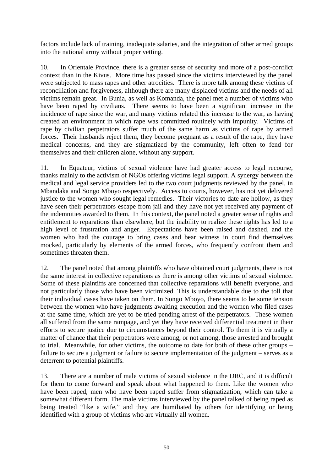factors include lack of training, inadequate salaries, and the integration of other armed groups into the national army without proper vetting.

10. In Orientale Province, there is a greater sense of security and more of a post-conflict context than in the Kivus. More time has passed since the victims interviewed by the panel were subjected to mass rapes and other atrocities. There is more talk among these victims of reconciliation and forgiveness, although there are many displaced victims and the needs of all victims remain great. In Bunia, as well as Komanda, the panel met a number of victims who have been raped by civilians. There seems to have been a significant increase in the incidence of rape since the war, and many victims related this increase to the war, as having created an environment in which rape was committed routinely with impunity. Victims of rape by civilian perpetrators suffer much of the same harm as victims of rape by armed forces. Their husbands reject them, they become pregnant as a result of the rape, they have medical concerns, and they are stigmatized by the community, left often to fend for themselves and their children alone, without any support.

11. In Equateur, victims of sexual violence have had greater access to legal recourse, thanks mainly to the activism of NGOs offering victims legal support. A synergy between the medical and legal service providers led to the two court judgments reviewed by the panel, in Mbandaka and Songo Mboyo respectively. Access to courts, however, has not yet delivered justice to the women who sought legal remedies. Their victories to date are hollow, as they have seen their perpetrators escape from jail and they have not yet received any payment of the indemnities awarded to them. In this context, the panel noted a greater sense of rights and entitlement to reparations than elsewhere, but the inability to realize these rights has led to a high level of frustration and anger. Expectations have been raised and dashed, and the women who had the courage to bring cases and bear witness in court find themselves mocked, particularly by elements of the armed forces, who frequently confront them and sometimes threaten them.

12. The panel noted that among plaintiffs who have obtained court judgments, there is not the same interest in collective reparations as there is among other victims of sexual violence. Some of these plaintiffs are concerned that collective reparations will benefit everyone, and not particularly those who have been victimized. This is understandable due to the toll that their individual cases have taken on them. In Songo Mboyo, there seems to be some tension between the women who have judgments awaiting execution and the women who filed cases at the same time, which are yet to be tried pending arrest of the perpetrators. These women all suffered from the same rampage, and yet they have received differential treatment in their efforts to secure justice due to circumstances beyond their control. To them it is virtually a matter of chance that their perpetrators were among, or not among, those arrested and brought to trial. Meanwhile, for other victims, the outcome to date for both of these other groups – failure to secure a judgment or failure to secure implementation of the judgment – serves as a deterrent to potential plaintiffs.

13. There are a number of male victims of sexual violence in the DRC, and it is difficult for them to come forward and speak about what happened to them. Like the women who have been raped, men who have been raped suffer from stigmatization, which can take a somewhat different form. The male victims interviewed by the panel talked of being raped as being treated "like a wife," and they are humiliated by others for identifying or being identified with a group of victims who are virtually all women.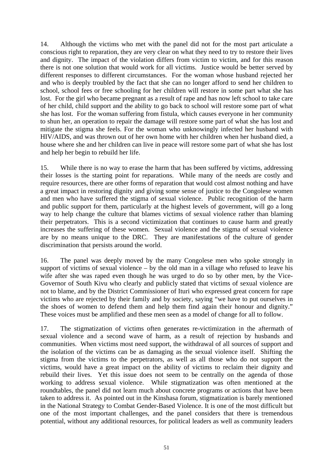14. Although the victims who met with the panel did not for the most part articulate a conscious right to reparation, they are very clear on what they need to try to restore their lives and dignity. The impact of the violation differs from victim to victim, and for this reason there is not one solution that would work for all victims. Justice would be better served by different responses to different circumstances. For the woman whose husband rejected her and who is deeply troubled by the fact that she can no longer afford to send her children to school, school fees or free schooling for her children will restore in some part what she has lost. For the girl who became pregnant as a result of rape and has now left school to take care of her child, child support and the ability to go back to school will restore some part of what she has lost. For the woman suffering from fistula, which causes everyone in her community to shun her, an operation to repair the damage will restore some part of what she has lost and mitigate the stigma she feels. For the woman who unknowingly infected her husband with HIV/AIDS, and was thrown out of her own home with her children when her husband died, a house where she and her children can live in peace will restore some part of what she has lost and help her begin to rebuild her life.

15. While there is no way to erase the harm that has been suffered by victims, addressing their losses is the starting point for reparations. While many of the needs are costly and require resources, there are other forms of reparation that would cost almost nothing and have a great impact in restoring dignity and giving some sense of justice to the Congolese women and men who have suffered the stigma of sexual violence. Public recognition of the harm and public support for them, particularly at the highest levels of government, will go a long way to help change the culture that blames victims of sexual violence rather than blaming their perpetrators. This is a second victimization that continues to cause harm and greatly increases the suffering of these women. Sexual violence and the stigma of sexual violence are by no means unique to the DRC. They are manifestations of the culture of gender discrimination that persists around the world.

16. The panel was deeply moved by the many Congolese men who spoke strongly in support of victims of sexual violence  $-$  by the old man in a village who refused to leave his wife after she was raped even though he was urged to do so by other men, by the Vice-Governor of South Kivu who clearly and publicly stated that victims of sexual violence are not to blame, and by the District Commissioner of Ituri who expressed great concern for rape victims who are rejected by their family and by society, saying "we have to put ourselves in the shoes of women to defend them and help them find again their honour and dignity." These voices must be amplified and these men seen as a model of change for all to follow.

17. The stigmatization of victims often generates re-victimization in the aftermath of sexual violence and a second wave of harm, as a result of rejection by husbands and communities. When victims most need support, the withdrawal of all sources of support and the isolation of the victims can be as damaging as the sexual violence itself. Shifting the stigma from the victims to the perpetrators, as well as all those who do not support the victims, would have a great impact on the ability of victims to reclaim their dignity and rebuild their lives. Yet this issue does not seem to be centrally on the agenda of those working to address sexual violence. While stigmatization was often mentioned at the roundtables, the panel did not learn much about concrete programs or actions that have been taken to address it. As pointed out in the Kinshasa forum, stigmatization is barely mentioned in the National Strategy to Combat Gender-Based Violence. It is one of the most difficult but one of the most important challenges, and the panel considers that there is tremendous potential, without any additional resources, for political leaders as well as community leaders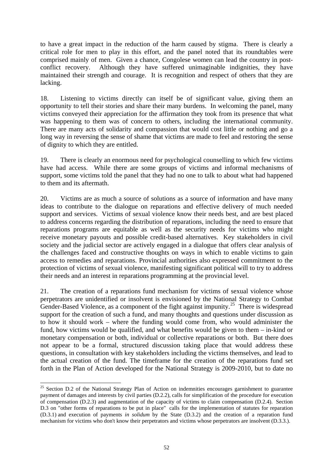to have a great impact in the reduction of the harm caused by stigma. There is clearly a critical role for men to play in this effort, and the panel noted that its roundtables were comprised mainly of men. Given a chance, Congolese women can lead the country in postconflict recovery. Although they have suffered unimaginable indignities, they have maintained their strength and courage. It is recognition and respect of others that they are lacking.

18. Listening to victims directly can itself be of significant value, giving them an opportunity to tell their stories and share their many burdens. In welcoming the panel, many victims conveyed their appreciation for the affirmation they took from its presence that what was happening to them was of concern to others, including the international community. There are many acts of solidarity and compassion that would cost little or nothing and go a long way in reversing the sense of shame that victims are made to feel and restoring the sense of dignity to which they are entitled.

19. There is clearly an enormous need for psychological counselling to which few victims have had access. While there are some groups of victims and informal mechanisms of support, some victims told the panel that they had no one to talk to about what had happened to them and its aftermath.

20. Victims are as much a source of solutions as a source of information and have many ideas to contribute to the dialogue on reparations and effective delivery of much needed support and services. Victims of sexual violence know their needs best, and are best placed to address concerns regarding the distribution of reparations, including the need to ensure that reparations programs are equitable as well as the security needs for victims who might receive monetary payouts and possible credit-based alternatives. Key stakeholders in civil society and the judicial sector are actively engaged in a dialogue that offers clear analysis of the challenges faced and constructive thoughts on ways in which to enable victims to gain access to remedies and reparations. Provincial authorities also expressed commitment to the protection of victims of sexual violence, manifesting significant political will to try to address their needs and an interest in reparations programming at the provincial level.

21. The creation of a reparations fund mechanism for victims of sexual violence whose perpetrators are unidentified or insolvent is envisioned by the National Strategy to Combat Gender-Based Violence, as a component of the fight against impunity.<sup>[25](#page-51-0)</sup> There is widespread support for the creation of such a fund, and many thoughts and questions under discussion as to how it should work – where the funding would come from, who would administer the fund, how victims would be qualified, and what benefits would be given to them – in-kind or monetary compensation or both, individual or collective reparations or both. But there does not appear to be a formal, structured discussion taking place that would address these questions, in consultation with key stakeholders including the victims themselves, and lead to the actual creation of the fund. The timeframe for the creation of the reparations fund set forth in the Plan of Action developed for the National Strategy is 2009-2010, but to date no

 $\overline{a}$ 

<span id="page-51-0"></span> $25$  Section D.2 of the National Strategy Plan of Action on indemnities encourages garnishment to guarantee payment of damages and interests by civil parties (D.2.2), calls for simplification of the procedure for execution of compensation (D.2.3) and augmentation of the capacity of victims to claim compensation (D.2.4). Section D.3 on "other forms of reparations to be put in place" calls for the implementation of statutes for reparation (D.3.1) and execution of payments *in solidum* by the State (D.3.2) and the creation of a reparation fund mechanism for victims who don't know their perpetrators and victims whose perpetrators are insolvent (D.3.3.).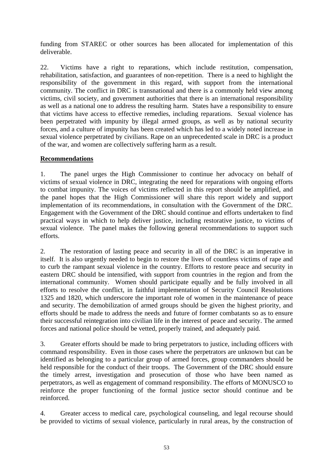funding from STAREC or other sources has been allocated for implementation of this deliverable.

22. Victims have a right to reparations, which include restitution, compensation, rehabilitation, satisfaction, and guarantees of non-repetition. There is a need to highlight the responsibility of the government in this regard, with support from the international community. The conflict in DRC is transnational and there is a commonly held view among victims, civil society, and government authorities that there is an international responsibility as well as a national one to address the resulting harm. States have a responsibility to ensure that victims have access to effective remedies, including reparations. Sexual violence has been perpetrated with impunity by illegal armed groups, as well as by national security forces, and a culture of impunity has been created which has led to a widely noted increase in sexual violence perpetrated by civilians. Rape on an unprecedented scale in DRC is a product of the war, and women are collectively suffering harm as a result.

# **Recommendations**

1. The panel urges the High Commissioner to continue her advocacy on behalf of victims of sexual violence in DRC, integrating the need for reparations with ongoing efforts to combat impunity. The voices of victims reflected in this report should be amplified, and the panel hopes that the High Commissioner will share this report widely and support implementation of its recommendations, in consultation with the Government of the DRC. Engagement with the Government of the DRC should continue and efforts undertaken to find practical ways in which to help deliver justice, including restorative justice, to victims of sexual violence. The panel makes the following general recommendations to support such efforts.

2. The restoration of lasting peace and security in all of the DRC is an imperative in itself. It is also urgently needed to begin to restore the lives of countless victims of rape and to curb the rampant sexual violence in the country. Efforts to restore peace and security in eastern DRC should be intensified, with support from countries in the region and from the international community. Women should participate equally and be fully involved in all efforts to resolve the conflict, in faithful implementation of Security Council Resolutions 1325 and 1820, which underscore the important role of women in the maintenance of peace and security. The demobilization of armed groups should be given the highest priority, and efforts should be made to address the needs and future of former combatants so as to ensure their successful reintegration into civilian life in the interest of peace and security. The armed forces and national police should be vetted, properly trained, and adequately paid.

3. Greater efforts should be made to bring perpetrators to justice, including officers with command responsibility. Even in those cases where the perpetrators are unknown but can be identified as belonging to a particular group of armed forces, group commanders should be held responsible for the conduct of their troops. The Government of the DRC should ensure the timely arrest, investigation and prosecution of those who have been named as perpetrators, as well as engagement of command responsibility. The efforts of MONUSCO to reinforce the proper functioning of the formal justice sector should continue and be reinforced.

4. Greater access to medical care, psychological counseling, and legal recourse should be provided to victims of sexual violence, particularly in rural areas, by the construction of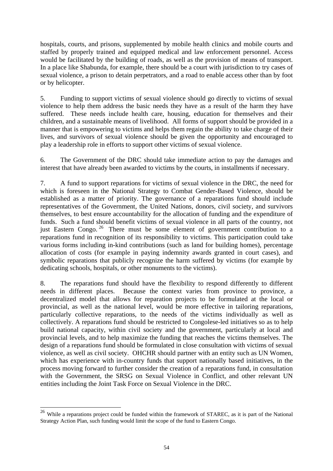hospitals, courts, and prisons, supplemented by mobile health clinics and mobile courts and staffed by properly trained and equipped medical and law enforcement personnel. Access would be facilitated by the building of roads, as well as the provision of means of transport. In a place like Shabunda, for example, there should be a court with jurisdiction to try cases of sexual violence, a prison to detain perpetrators, and a road to enable access other than by foot or by helicopter.

5. Funding to support victims of sexual violence should go directly to victims of sexual violence to help them address the basic needs they have as a result of the harm they have suffered. These needs include health care, housing, education for themselves and their children, and a sustainable means of livelihood. All forms of support should be provided in a manner that is empowering to victims and helps them regain the ability to take charge of their lives, and survivors of sexual violence should be given the opportunity and encouraged to play a leadership role in efforts to support other victims of sexual violence.

6. The Government of the DRC should take immediate action to pay the damages and interest that have already been awarded to victims by the courts, in installments if necessary.

7. A fund to support reparations for victims of sexual violence in the DRC, the need for which is foreseen in the National Strategy to Combat Gender-Based Violence, should be established as a matter of priority. The governance of a reparations fund should include representatives of the Government, the United Nations, donors, civil society, and survivors themselves, to best ensure accountability for the allocation of funding and the expenditure of funds. Such a fund should benefit victims of sexual violence in all parts of the country, not just Eastern Congo. [26](#page-53-0) There must be some element of government contribution to a reparations fund in recognition of its responsibility to victims. This participation could take various forms including in-kind contributions (such as land for building homes), percentage allocation of costs (for example in paying indemnity awards granted in court cases), and symbolic reparations that publicly recognize the harm suffered by victims (for example by dedicating schools, hospitals, or other monuments to the victims).

8. The reparations fund should have the flexibility to respond differently to different needs in different places. Because the context varies from province to province, a decentralized model that allows for reparation projects to be formulated at the local or provincial, as well as the national level, would be more effective in tailoring reparations, particularly collective reparations, to the needs of the victims individually as well as collectively. A reparations fund should be restricted to Congolese-led initiatives so as to help build national capacity, within civil society and the government, particularly at local and provincial levels, and to help maximize the funding that reaches the victims themselves. The design of a reparations fund should be formulated in close consultation with victims of sexual violence, as well as civil society. OHCHR should partner with an entity such as UN Women, which has experience with in-country funds that support nationally based initiatives, in the process moving forward to further consider the creation of a reparations fund, in consultation with the Government, the SRSG on Sexual Violence in Conflict, and other relevant UN entities including the Joint Task Force on Sexual Violence in the DRC.

 $\overline{a}$ 

<span id="page-53-0"></span><sup>&</sup>lt;sup>26</sup> While a reparations project could be funded within the framework of STAREC, as it is part of the National Strategy Action Plan, such funding would limit the scope of the fund to Eastern Congo.